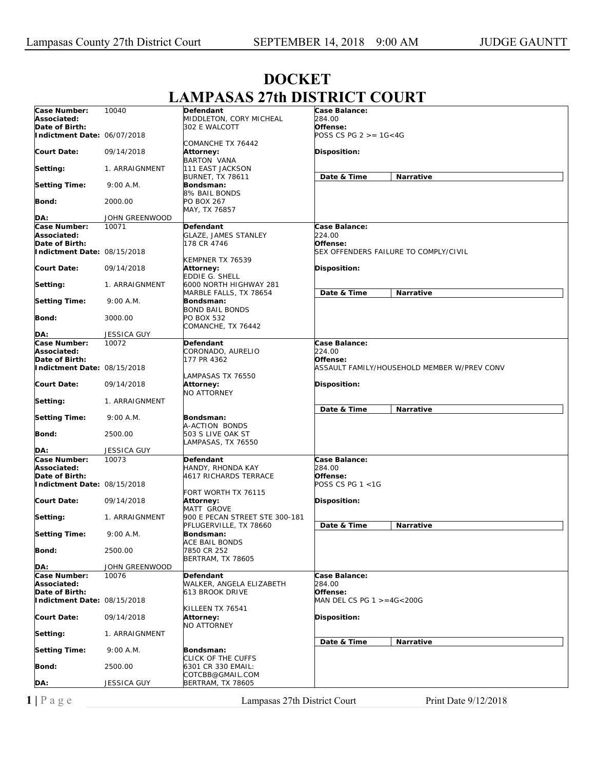| Case Number:<br>10040<br>Case Balance:<br>Defendant<br>Associated:<br><i>284.00</i><br>MIDDLETON, CORY MICHEAL<br>Date of Birth:<br>Offense:<br>302 E WALCOTT<br>POSS CS PG $2 > = 16 < 4G$<br>Indictment Date: 06/07/2018<br>COMANCHE TX 76442<br><b>Court Date:</b><br>Disposition:<br>09/14/2018<br>Attorney:<br>BARTON VANA<br>Setting:<br>111 EAST JACKSON<br>1. ARRAIGNMENT<br>Date & Time<br>Narrative<br><b>BURNET, TX 78611</b><br><b>Setting Time:</b><br>9:00 A.M.<br>Bondsman:<br>8% BAIL BONDS<br><b>Bond:</b><br>PO BOX 267<br>2000.00<br>MAY, TX 76857<br>JOHN GREENWOOD<br>DA:<br>Case Number:<br>10071<br>Case Balance:<br>Defendant<br>224.00<br>Associated:<br><b>GLAZE, JAMES STANLEY</b><br>Date of Birth:<br>Offense:<br>178 CR 4746<br>Indictment Date: 08/15/2018<br>SEX OFFENDERS FAILURE TO COMPLY/CIVIL<br>KEMPNER TX 76539<br><b>Court Date:</b><br>Disposition:<br>09/14/2018<br><b>Attorney:</b><br>EDDIE G. SHELL<br>Setting:<br>6000 NORTH HIGHWAY 281<br>1. ARRAIGNMENT<br>Date & Time<br>Narrative<br>MARBLE FALLS, TX 78654<br><b>Setting Time:</b><br>9:00 A.M.<br>Bondsman:<br><b>BOND BAIL BONDS</b><br>Bond:<br>3000.00<br>PO BOX 532<br>COMANCHE, TX 76442<br>JESSICA GUY<br>DA:<br>Case Number:<br>Case Balance:<br>10072<br>Defendant<br>224.00<br>Associated:<br>CORONADO, AURELIO<br>Date of Birth:<br>177 PR 4362<br>Offense:<br>Indictment Date: 08/15/2018<br>ASSAULT FAMILY/HOUSEHOLD MEMBER W/PREV CONV<br>LAMPASAS TX 76550<br><b>Court Date:</b><br>Disposition:<br>09/14/2018<br><b>Attorney:</b><br><b>NO ATTORNEY</b><br>Setting:<br>1. ARRAIGNMENT<br>Date & Time<br>Narrative<br><b>Setting Time:</b><br>9:00 A.M.<br>Bondsman:<br>A-ACTION BONDS<br>Bond:<br>503 S LIVE OAK ST<br>2500.00<br>LAMPASAS, TX 76550<br>DA:<br>JESSICA GUY<br>Case Number:<br>Case Balance:<br>10073<br>Defendant<br>284.00<br>Associated:<br>HANDY, RHONDA KAY<br>Date of Birth:<br>4617 RICHARDS TERRACE<br>Offense:<br>POSS CS PG 1 <1G<br>Indictment Date: 08/15/2018<br>FORT WORTH TX 76115<br><b>Court Date:</b><br>Disposition:<br>09/14/2018<br>Attorney:<br>MATT GROVE<br>Setting:<br>900 E PECAN STREET STE 300-181<br>1. ARRAIGNMENT<br>Narrative<br>PFLUGERVILLE, TX 78660<br>Date & Time<br>9:00 A.M.<br><b>Setting Time:</b><br>Bondsman:<br>ACE BAIL BONDS<br>7850 CR 252<br>Bond:<br>2500.00<br>BERTRAM, TX 78605<br>JOHN GREENWOOD<br>DA:<br>Case Number:<br>Defendant<br>10076<br>Case Balance:<br>WALKER, ANGELA ELIZABETH<br>284.00<br>Associated:<br>Date of Birth:<br><b>613 BROOK DRIVE</b><br>Offense:<br>MAN DEL CS PG $1 > = 4G < 200G$<br>Indictment Date: 08/15/2018<br>KILLEEN TX 76541<br><b>Court Date:</b><br>09/14/2018<br><b>Attorney:</b><br>Disposition: |              |         | <u>MILLIOLIO ET GI DIO I IMO I</u> |  |
|----------------------------------------------------------------------------------------------------------------------------------------------------------------------------------------------------------------------------------------------------------------------------------------------------------------------------------------------------------------------------------------------------------------------------------------------------------------------------------------------------------------------------------------------------------------------------------------------------------------------------------------------------------------------------------------------------------------------------------------------------------------------------------------------------------------------------------------------------------------------------------------------------------------------------------------------------------------------------------------------------------------------------------------------------------------------------------------------------------------------------------------------------------------------------------------------------------------------------------------------------------------------------------------------------------------------------------------------------------------------------------------------------------------------------------------------------------------------------------------------------------------------------------------------------------------------------------------------------------------------------------------------------------------------------------------------------------------------------------------------------------------------------------------------------------------------------------------------------------------------------------------------------------------------------------------------------------------------------------------------------------------------------------------------------------------------------------------------------------------------------------------------------------------------------------------------------------------------------------------------------------------------------------------------------------------------------------------------------------------------------------------------------------------------------------------------------------------------------------------------------------------------------------------------------------------------------------------------------------------------------------------------------------------------------------------------------------------------------------|--------------|---------|------------------------------------|--|
|                                                                                                                                                                                                                                                                                                                                                                                                                                                                                                                                                                                                                                                                                                                                                                                                                                                                                                                                                                                                                                                                                                                                                                                                                                                                                                                                                                                                                                                                                                                                                                                                                                                                                                                                                                                                                                                                                                                                                                                                                                                                                                                                                                                                                                                                                                                                                                                                                                                                                                                                                                                                                                                                                                                                  |              |         |                                    |  |
|                                                                                                                                                                                                                                                                                                                                                                                                                                                                                                                                                                                                                                                                                                                                                                                                                                                                                                                                                                                                                                                                                                                                                                                                                                                                                                                                                                                                                                                                                                                                                                                                                                                                                                                                                                                                                                                                                                                                                                                                                                                                                                                                                                                                                                                                                                                                                                                                                                                                                                                                                                                                                                                                                                                                  |              |         |                                    |  |
|                                                                                                                                                                                                                                                                                                                                                                                                                                                                                                                                                                                                                                                                                                                                                                                                                                                                                                                                                                                                                                                                                                                                                                                                                                                                                                                                                                                                                                                                                                                                                                                                                                                                                                                                                                                                                                                                                                                                                                                                                                                                                                                                                                                                                                                                                                                                                                                                                                                                                                                                                                                                                                                                                                                                  |              |         |                                    |  |
|                                                                                                                                                                                                                                                                                                                                                                                                                                                                                                                                                                                                                                                                                                                                                                                                                                                                                                                                                                                                                                                                                                                                                                                                                                                                                                                                                                                                                                                                                                                                                                                                                                                                                                                                                                                                                                                                                                                                                                                                                                                                                                                                                                                                                                                                                                                                                                                                                                                                                                                                                                                                                                                                                                                                  |              |         |                                    |  |
|                                                                                                                                                                                                                                                                                                                                                                                                                                                                                                                                                                                                                                                                                                                                                                                                                                                                                                                                                                                                                                                                                                                                                                                                                                                                                                                                                                                                                                                                                                                                                                                                                                                                                                                                                                                                                                                                                                                                                                                                                                                                                                                                                                                                                                                                                                                                                                                                                                                                                                                                                                                                                                                                                                                                  |              |         |                                    |  |
|                                                                                                                                                                                                                                                                                                                                                                                                                                                                                                                                                                                                                                                                                                                                                                                                                                                                                                                                                                                                                                                                                                                                                                                                                                                                                                                                                                                                                                                                                                                                                                                                                                                                                                                                                                                                                                                                                                                                                                                                                                                                                                                                                                                                                                                                                                                                                                                                                                                                                                                                                                                                                                                                                                                                  |              |         |                                    |  |
|                                                                                                                                                                                                                                                                                                                                                                                                                                                                                                                                                                                                                                                                                                                                                                                                                                                                                                                                                                                                                                                                                                                                                                                                                                                                                                                                                                                                                                                                                                                                                                                                                                                                                                                                                                                                                                                                                                                                                                                                                                                                                                                                                                                                                                                                                                                                                                                                                                                                                                                                                                                                                                                                                                                                  |              |         |                                    |  |
|                                                                                                                                                                                                                                                                                                                                                                                                                                                                                                                                                                                                                                                                                                                                                                                                                                                                                                                                                                                                                                                                                                                                                                                                                                                                                                                                                                                                                                                                                                                                                                                                                                                                                                                                                                                                                                                                                                                                                                                                                                                                                                                                                                                                                                                                                                                                                                                                                                                                                                                                                                                                                                                                                                                                  |              |         |                                    |  |
|                                                                                                                                                                                                                                                                                                                                                                                                                                                                                                                                                                                                                                                                                                                                                                                                                                                                                                                                                                                                                                                                                                                                                                                                                                                                                                                                                                                                                                                                                                                                                                                                                                                                                                                                                                                                                                                                                                                                                                                                                                                                                                                                                                                                                                                                                                                                                                                                                                                                                                                                                                                                                                                                                                                                  |              |         |                                    |  |
|                                                                                                                                                                                                                                                                                                                                                                                                                                                                                                                                                                                                                                                                                                                                                                                                                                                                                                                                                                                                                                                                                                                                                                                                                                                                                                                                                                                                                                                                                                                                                                                                                                                                                                                                                                                                                                                                                                                                                                                                                                                                                                                                                                                                                                                                                                                                                                                                                                                                                                                                                                                                                                                                                                                                  |              |         |                                    |  |
|                                                                                                                                                                                                                                                                                                                                                                                                                                                                                                                                                                                                                                                                                                                                                                                                                                                                                                                                                                                                                                                                                                                                                                                                                                                                                                                                                                                                                                                                                                                                                                                                                                                                                                                                                                                                                                                                                                                                                                                                                                                                                                                                                                                                                                                                                                                                                                                                                                                                                                                                                                                                                                                                                                                                  |              |         |                                    |  |
|                                                                                                                                                                                                                                                                                                                                                                                                                                                                                                                                                                                                                                                                                                                                                                                                                                                                                                                                                                                                                                                                                                                                                                                                                                                                                                                                                                                                                                                                                                                                                                                                                                                                                                                                                                                                                                                                                                                                                                                                                                                                                                                                                                                                                                                                                                                                                                                                                                                                                                                                                                                                                                                                                                                                  |              |         |                                    |  |
|                                                                                                                                                                                                                                                                                                                                                                                                                                                                                                                                                                                                                                                                                                                                                                                                                                                                                                                                                                                                                                                                                                                                                                                                                                                                                                                                                                                                                                                                                                                                                                                                                                                                                                                                                                                                                                                                                                                                                                                                                                                                                                                                                                                                                                                                                                                                                                                                                                                                                                                                                                                                                                                                                                                                  |              |         |                                    |  |
|                                                                                                                                                                                                                                                                                                                                                                                                                                                                                                                                                                                                                                                                                                                                                                                                                                                                                                                                                                                                                                                                                                                                                                                                                                                                                                                                                                                                                                                                                                                                                                                                                                                                                                                                                                                                                                                                                                                                                                                                                                                                                                                                                                                                                                                                                                                                                                                                                                                                                                                                                                                                                                                                                                                                  |              |         |                                    |  |
|                                                                                                                                                                                                                                                                                                                                                                                                                                                                                                                                                                                                                                                                                                                                                                                                                                                                                                                                                                                                                                                                                                                                                                                                                                                                                                                                                                                                                                                                                                                                                                                                                                                                                                                                                                                                                                                                                                                                                                                                                                                                                                                                                                                                                                                                                                                                                                                                                                                                                                                                                                                                                                                                                                                                  |              |         |                                    |  |
|                                                                                                                                                                                                                                                                                                                                                                                                                                                                                                                                                                                                                                                                                                                                                                                                                                                                                                                                                                                                                                                                                                                                                                                                                                                                                                                                                                                                                                                                                                                                                                                                                                                                                                                                                                                                                                                                                                                                                                                                                                                                                                                                                                                                                                                                                                                                                                                                                                                                                                                                                                                                                                                                                                                                  |              |         |                                    |  |
|                                                                                                                                                                                                                                                                                                                                                                                                                                                                                                                                                                                                                                                                                                                                                                                                                                                                                                                                                                                                                                                                                                                                                                                                                                                                                                                                                                                                                                                                                                                                                                                                                                                                                                                                                                                                                                                                                                                                                                                                                                                                                                                                                                                                                                                                                                                                                                                                                                                                                                                                                                                                                                                                                                                                  |              |         |                                    |  |
|                                                                                                                                                                                                                                                                                                                                                                                                                                                                                                                                                                                                                                                                                                                                                                                                                                                                                                                                                                                                                                                                                                                                                                                                                                                                                                                                                                                                                                                                                                                                                                                                                                                                                                                                                                                                                                                                                                                                                                                                                                                                                                                                                                                                                                                                                                                                                                                                                                                                                                                                                                                                                                                                                                                                  |              |         |                                    |  |
|                                                                                                                                                                                                                                                                                                                                                                                                                                                                                                                                                                                                                                                                                                                                                                                                                                                                                                                                                                                                                                                                                                                                                                                                                                                                                                                                                                                                                                                                                                                                                                                                                                                                                                                                                                                                                                                                                                                                                                                                                                                                                                                                                                                                                                                                                                                                                                                                                                                                                                                                                                                                                                                                                                                                  |              |         |                                    |  |
|                                                                                                                                                                                                                                                                                                                                                                                                                                                                                                                                                                                                                                                                                                                                                                                                                                                                                                                                                                                                                                                                                                                                                                                                                                                                                                                                                                                                                                                                                                                                                                                                                                                                                                                                                                                                                                                                                                                                                                                                                                                                                                                                                                                                                                                                                                                                                                                                                                                                                                                                                                                                                                                                                                                                  |              |         |                                    |  |
|                                                                                                                                                                                                                                                                                                                                                                                                                                                                                                                                                                                                                                                                                                                                                                                                                                                                                                                                                                                                                                                                                                                                                                                                                                                                                                                                                                                                                                                                                                                                                                                                                                                                                                                                                                                                                                                                                                                                                                                                                                                                                                                                                                                                                                                                                                                                                                                                                                                                                                                                                                                                                                                                                                                                  |              |         |                                    |  |
|                                                                                                                                                                                                                                                                                                                                                                                                                                                                                                                                                                                                                                                                                                                                                                                                                                                                                                                                                                                                                                                                                                                                                                                                                                                                                                                                                                                                                                                                                                                                                                                                                                                                                                                                                                                                                                                                                                                                                                                                                                                                                                                                                                                                                                                                                                                                                                                                                                                                                                                                                                                                                                                                                                                                  |              |         |                                    |  |
|                                                                                                                                                                                                                                                                                                                                                                                                                                                                                                                                                                                                                                                                                                                                                                                                                                                                                                                                                                                                                                                                                                                                                                                                                                                                                                                                                                                                                                                                                                                                                                                                                                                                                                                                                                                                                                                                                                                                                                                                                                                                                                                                                                                                                                                                                                                                                                                                                                                                                                                                                                                                                                                                                                                                  |              |         |                                    |  |
|                                                                                                                                                                                                                                                                                                                                                                                                                                                                                                                                                                                                                                                                                                                                                                                                                                                                                                                                                                                                                                                                                                                                                                                                                                                                                                                                                                                                                                                                                                                                                                                                                                                                                                                                                                                                                                                                                                                                                                                                                                                                                                                                                                                                                                                                                                                                                                                                                                                                                                                                                                                                                                                                                                                                  |              |         |                                    |  |
|                                                                                                                                                                                                                                                                                                                                                                                                                                                                                                                                                                                                                                                                                                                                                                                                                                                                                                                                                                                                                                                                                                                                                                                                                                                                                                                                                                                                                                                                                                                                                                                                                                                                                                                                                                                                                                                                                                                                                                                                                                                                                                                                                                                                                                                                                                                                                                                                                                                                                                                                                                                                                                                                                                                                  |              |         |                                    |  |
|                                                                                                                                                                                                                                                                                                                                                                                                                                                                                                                                                                                                                                                                                                                                                                                                                                                                                                                                                                                                                                                                                                                                                                                                                                                                                                                                                                                                                                                                                                                                                                                                                                                                                                                                                                                                                                                                                                                                                                                                                                                                                                                                                                                                                                                                                                                                                                                                                                                                                                                                                                                                                                                                                                                                  |              |         |                                    |  |
|                                                                                                                                                                                                                                                                                                                                                                                                                                                                                                                                                                                                                                                                                                                                                                                                                                                                                                                                                                                                                                                                                                                                                                                                                                                                                                                                                                                                                                                                                                                                                                                                                                                                                                                                                                                                                                                                                                                                                                                                                                                                                                                                                                                                                                                                                                                                                                                                                                                                                                                                                                                                                                                                                                                                  |              |         |                                    |  |
|                                                                                                                                                                                                                                                                                                                                                                                                                                                                                                                                                                                                                                                                                                                                                                                                                                                                                                                                                                                                                                                                                                                                                                                                                                                                                                                                                                                                                                                                                                                                                                                                                                                                                                                                                                                                                                                                                                                                                                                                                                                                                                                                                                                                                                                                                                                                                                                                                                                                                                                                                                                                                                                                                                                                  |              |         |                                    |  |
|                                                                                                                                                                                                                                                                                                                                                                                                                                                                                                                                                                                                                                                                                                                                                                                                                                                                                                                                                                                                                                                                                                                                                                                                                                                                                                                                                                                                                                                                                                                                                                                                                                                                                                                                                                                                                                                                                                                                                                                                                                                                                                                                                                                                                                                                                                                                                                                                                                                                                                                                                                                                                                                                                                                                  |              |         |                                    |  |
|                                                                                                                                                                                                                                                                                                                                                                                                                                                                                                                                                                                                                                                                                                                                                                                                                                                                                                                                                                                                                                                                                                                                                                                                                                                                                                                                                                                                                                                                                                                                                                                                                                                                                                                                                                                                                                                                                                                                                                                                                                                                                                                                                                                                                                                                                                                                                                                                                                                                                                                                                                                                                                                                                                                                  |              |         |                                    |  |
|                                                                                                                                                                                                                                                                                                                                                                                                                                                                                                                                                                                                                                                                                                                                                                                                                                                                                                                                                                                                                                                                                                                                                                                                                                                                                                                                                                                                                                                                                                                                                                                                                                                                                                                                                                                                                                                                                                                                                                                                                                                                                                                                                                                                                                                                                                                                                                                                                                                                                                                                                                                                                                                                                                                                  |              |         |                                    |  |
|                                                                                                                                                                                                                                                                                                                                                                                                                                                                                                                                                                                                                                                                                                                                                                                                                                                                                                                                                                                                                                                                                                                                                                                                                                                                                                                                                                                                                                                                                                                                                                                                                                                                                                                                                                                                                                                                                                                                                                                                                                                                                                                                                                                                                                                                                                                                                                                                                                                                                                                                                                                                                                                                                                                                  |              |         |                                    |  |
|                                                                                                                                                                                                                                                                                                                                                                                                                                                                                                                                                                                                                                                                                                                                                                                                                                                                                                                                                                                                                                                                                                                                                                                                                                                                                                                                                                                                                                                                                                                                                                                                                                                                                                                                                                                                                                                                                                                                                                                                                                                                                                                                                                                                                                                                                                                                                                                                                                                                                                                                                                                                                                                                                                                                  |              |         |                                    |  |
|                                                                                                                                                                                                                                                                                                                                                                                                                                                                                                                                                                                                                                                                                                                                                                                                                                                                                                                                                                                                                                                                                                                                                                                                                                                                                                                                                                                                                                                                                                                                                                                                                                                                                                                                                                                                                                                                                                                                                                                                                                                                                                                                                                                                                                                                                                                                                                                                                                                                                                                                                                                                                                                                                                                                  |              |         |                                    |  |
|                                                                                                                                                                                                                                                                                                                                                                                                                                                                                                                                                                                                                                                                                                                                                                                                                                                                                                                                                                                                                                                                                                                                                                                                                                                                                                                                                                                                                                                                                                                                                                                                                                                                                                                                                                                                                                                                                                                                                                                                                                                                                                                                                                                                                                                                                                                                                                                                                                                                                                                                                                                                                                                                                                                                  |              |         |                                    |  |
|                                                                                                                                                                                                                                                                                                                                                                                                                                                                                                                                                                                                                                                                                                                                                                                                                                                                                                                                                                                                                                                                                                                                                                                                                                                                                                                                                                                                                                                                                                                                                                                                                                                                                                                                                                                                                                                                                                                                                                                                                                                                                                                                                                                                                                                                                                                                                                                                                                                                                                                                                                                                                                                                                                                                  |              |         |                                    |  |
|                                                                                                                                                                                                                                                                                                                                                                                                                                                                                                                                                                                                                                                                                                                                                                                                                                                                                                                                                                                                                                                                                                                                                                                                                                                                                                                                                                                                                                                                                                                                                                                                                                                                                                                                                                                                                                                                                                                                                                                                                                                                                                                                                                                                                                                                                                                                                                                                                                                                                                                                                                                                                                                                                                                                  |              |         |                                    |  |
|                                                                                                                                                                                                                                                                                                                                                                                                                                                                                                                                                                                                                                                                                                                                                                                                                                                                                                                                                                                                                                                                                                                                                                                                                                                                                                                                                                                                                                                                                                                                                                                                                                                                                                                                                                                                                                                                                                                                                                                                                                                                                                                                                                                                                                                                                                                                                                                                                                                                                                                                                                                                                                                                                                                                  |              |         |                                    |  |
|                                                                                                                                                                                                                                                                                                                                                                                                                                                                                                                                                                                                                                                                                                                                                                                                                                                                                                                                                                                                                                                                                                                                                                                                                                                                                                                                                                                                                                                                                                                                                                                                                                                                                                                                                                                                                                                                                                                                                                                                                                                                                                                                                                                                                                                                                                                                                                                                                                                                                                                                                                                                                                                                                                                                  |              |         |                                    |  |
|                                                                                                                                                                                                                                                                                                                                                                                                                                                                                                                                                                                                                                                                                                                                                                                                                                                                                                                                                                                                                                                                                                                                                                                                                                                                                                                                                                                                                                                                                                                                                                                                                                                                                                                                                                                                                                                                                                                                                                                                                                                                                                                                                                                                                                                                                                                                                                                                                                                                                                                                                                                                                                                                                                                                  |              |         |                                    |  |
|                                                                                                                                                                                                                                                                                                                                                                                                                                                                                                                                                                                                                                                                                                                                                                                                                                                                                                                                                                                                                                                                                                                                                                                                                                                                                                                                                                                                                                                                                                                                                                                                                                                                                                                                                                                                                                                                                                                                                                                                                                                                                                                                                                                                                                                                                                                                                                                                                                                                                                                                                                                                                                                                                                                                  |              |         |                                    |  |
|                                                                                                                                                                                                                                                                                                                                                                                                                                                                                                                                                                                                                                                                                                                                                                                                                                                                                                                                                                                                                                                                                                                                                                                                                                                                                                                                                                                                                                                                                                                                                                                                                                                                                                                                                                                                                                                                                                                                                                                                                                                                                                                                                                                                                                                                                                                                                                                                                                                                                                                                                                                                                                                                                                                                  |              |         |                                    |  |
|                                                                                                                                                                                                                                                                                                                                                                                                                                                                                                                                                                                                                                                                                                                                                                                                                                                                                                                                                                                                                                                                                                                                                                                                                                                                                                                                                                                                                                                                                                                                                                                                                                                                                                                                                                                                                                                                                                                                                                                                                                                                                                                                                                                                                                                                                                                                                                                                                                                                                                                                                                                                                                                                                                                                  |              |         |                                    |  |
|                                                                                                                                                                                                                                                                                                                                                                                                                                                                                                                                                                                                                                                                                                                                                                                                                                                                                                                                                                                                                                                                                                                                                                                                                                                                                                                                                                                                                                                                                                                                                                                                                                                                                                                                                                                                                                                                                                                                                                                                                                                                                                                                                                                                                                                                                                                                                                                                                                                                                                                                                                                                                                                                                                                                  |              |         |                                    |  |
|                                                                                                                                                                                                                                                                                                                                                                                                                                                                                                                                                                                                                                                                                                                                                                                                                                                                                                                                                                                                                                                                                                                                                                                                                                                                                                                                                                                                                                                                                                                                                                                                                                                                                                                                                                                                                                                                                                                                                                                                                                                                                                                                                                                                                                                                                                                                                                                                                                                                                                                                                                                                                                                                                                                                  |              |         |                                    |  |
|                                                                                                                                                                                                                                                                                                                                                                                                                                                                                                                                                                                                                                                                                                                                                                                                                                                                                                                                                                                                                                                                                                                                                                                                                                                                                                                                                                                                                                                                                                                                                                                                                                                                                                                                                                                                                                                                                                                                                                                                                                                                                                                                                                                                                                                                                                                                                                                                                                                                                                                                                                                                                                                                                                                                  |              |         |                                    |  |
|                                                                                                                                                                                                                                                                                                                                                                                                                                                                                                                                                                                                                                                                                                                                                                                                                                                                                                                                                                                                                                                                                                                                                                                                                                                                                                                                                                                                                                                                                                                                                                                                                                                                                                                                                                                                                                                                                                                                                                                                                                                                                                                                                                                                                                                                                                                                                                                                                                                                                                                                                                                                                                                                                                                                  |              |         |                                    |  |
|                                                                                                                                                                                                                                                                                                                                                                                                                                                                                                                                                                                                                                                                                                                                                                                                                                                                                                                                                                                                                                                                                                                                                                                                                                                                                                                                                                                                                                                                                                                                                                                                                                                                                                                                                                                                                                                                                                                                                                                                                                                                                                                                                                                                                                                                                                                                                                                                                                                                                                                                                                                                                                                                                                                                  |              |         |                                    |  |
|                                                                                                                                                                                                                                                                                                                                                                                                                                                                                                                                                                                                                                                                                                                                                                                                                                                                                                                                                                                                                                                                                                                                                                                                                                                                                                                                                                                                                                                                                                                                                                                                                                                                                                                                                                                                                                                                                                                                                                                                                                                                                                                                                                                                                                                                                                                                                                                                                                                                                                                                                                                                                                                                                                                                  |              |         |                                    |  |
|                                                                                                                                                                                                                                                                                                                                                                                                                                                                                                                                                                                                                                                                                                                                                                                                                                                                                                                                                                                                                                                                                                                                                                                                                                                                                                                                                                                                                                                                                                                                                                                                                                                                                                                                                                                                                                                                                                                                                                                                                                                                                                                                                                                                                                                                                                                                                                                                                                                                                                                                                                                                                                                                                                                                  |              |         |                                    |  |
|                                                                                                                                                                                                                                                                                                                                                                                                                                                                                                                                                                                                                                                                                                                                                                                                                                                                                                                                                                                                                                                                                                                                                                                                                                                                                                                                                                                                                                                                                                                                                                                                                                                                                                                                                                                                                                                                                                                                                                                                                                                                                                                                                                                                                                                                                                                                                                                                                                                                                                                                                                                                                                                                                                                                  |              |         |                                    |  |
|                                                                                                                                                                                                                                                                                                                                                                                                                                                                                                                                                                                                                                                                                                                                                                                                                                                                                                                                                                                                                                                                                                                                                                                                                                                                                                                                                                                                                                                                                                                                                                                                                                                                                                                                                                                                                                                                                                                                                                                                                                                                                                                                                                                                                                                                                                                                                                                                                                                                                                                                                                                                                                                                                                                                  |              |         |                                    |  |
|                                                                                                                                                                                                                                                                                                                                                                                                                                                                                                                                                                                                                                                                                                                                                                                                                                                                                                                                                                                                                                                                                                                                                                                                                                                                                                                                                                                                                                                                                                                                                                                                                                                                                                                                                                                                                                                                                                                                                                                                                                                                                                                                                                                                                                                                                                                                                                                                                                                                                                                                                                                                                                                                                                                                  |              |         |                                    |  |
|                                                                                                                                                                                                                                                                                                                                                                                                                                                                                                                                                                                                                                                                                                                                                                                                                                                                                                                                                                                                                                                                                                                                                                                                                                                                                                                                                                                                                                                                                                                                                                                                                                                                                                                                                                                                                                                                                                                                                                                                                                                                                                                                                                                                                                                                                                                                                                                                                                                                                                                                                                                                                                                                                                                                  |              |         |                                    |  |
|                                                                                                                                                                                                                                                                                                                                                                                                                                                                                                                                                                                                                                                                                                                                                                                                                                                                                                                                                                                                                                                                                                                                                                                                                                                                                                                                                                                                                                                                                                                                                                                                                                                                                                                                                                                                                                                                                                                                                                                                                                                                                                                                                                                                                                                                                                                                                                                                                                                                                                                                                                                                                                                                                                                                  |              |         |                                    |  |
|                                                                                                                                                                                                                                                                                                                                                                                                                                                                                                                                                                                                                                                                                                                                                                                                                                                                                                                                                                                                                                                                                                                                                                                                                                                                                                                                                                                                                                                                                                                                                                                                                                                                                                                                                                                                                                                                                                                                                                                                                                                                                                                                                                                                                                                                                                                                                                                                                                                                                                                                                                                                                                                                                                                                  |              |         |                                    |  |
|                                                                                                                                                                                                                                                                                                                                                                                                                                                                                                                                                                                                                                                                                                                                                                                                                                                                                                                                                                                                                                                                                                                                                                                                                                                                                                                                                                                                                                                                                                                                                                                                                                                                                                                                                                                                                                                                                                                                                                                                                                                                                                                                                                                                                                                                                                                                                                                                                                                                                                                                                                                                                                                                                                                                  |              |         |                                    |  |
|                                                                                                                                                                                                                                                                                                                                                                                                                                                                                                                                                                                                                                                                                                                                                                                                                                                                                                                                                                                                                                                                                                                                                                                                                                                                                                                                                                                                                                                                                                                                                                                                                                                                                                                                                                                                                                                                                                                                                                                                                                                                                                                                                                                                                                                                                                                                                                                                                                                                                                                                                                                                                                                                                                                                  |              |         |                                    |  |
|                                                                                                                                                                                                                                                                                                                                                                                                                                                                                                                                                                                                                                                                                                                                                                                                                                                                                                                                                                                                                                                                                                                                                                                                                                                                                                                                                                                                                                                                                                                                                                                                                                                                                                                                                                                                                                                                                                                                                                                                                                                                                                                                                                                                                                                                                                                                                                                                                                                                                                                                                                                                                                                                                                                                  |              |         |                                    |  |
|                                                                                                                                                                                                                                                                                                                                                                                                                                                                                                                                                                                                                                                                                                                                                                                                                                                                                                                                                                                                                                                                                                                                                                                                                                                                                                                                                                                                                                                                                                                                                                                                                                                                                                                                                                                                                                                                                                                                                                                                                                                                                                                                                                                                                                                                                                                                                                                                                                                                                                                                                                                                                                                                                                                                  |              |         |                                    |  |
|                                                                                                                                                                                                                                                                                                                                                                                                                                                                                                                                                                                                                                                                                                                                                                                                                                                                                                                                                                                                                                                                                                                                                                                                                                                                                                                                                                                                                                                                                                                                                                                                                                                                                                                                                                                                                                                                                                                                                                                                                                                                                                                                                                                                                                                                                                                                                                                                                                                                                                                                                                                                                                                                                                                                  |              |         | <b>NO ATTORNEY</b>                 |  |
| Setting:<br>1. ARRAIGNMENT                                                                                                                                                                                                                                                                                                                                                                                                                                                                                                                                                                                                                                                                                                                                                                                                                                                                                                                                                                                                                                                                                                                                                                                                                                                                                                                                                                                                                                                                                                                                                                                                                                                                                                                                                                                                                                                                                                                                                                                                                                                                                                                                                                                                                                                                                                                                                                                                                                                                                                                                                                                                                                                                                                       |              |         |                                    |  |
| Date & Time<br>Narrative                                                                                                                                                                                                                                                                                                                                                                                                                                                                                                                                                                                                                                                                                                                                                                                                                                                                                                                                                                                                                                                                                                                                                                                                                                                                                                                                                                                                                                                                                                                                                                                                                                                                                                                                                                                                                                                                                                                                                                                                                                                                                                                                                                                                                                                                                                                                                                                                                                                                                                                                                                                                                                                                                                         |              |         |                                    |  |
| <b>Setting Time:</b><br>9:00 A.M.<br>Bondsman:                                                                                                                                                                                                                                                                                                                                                                                                                                                                                                                                                                                                                                                                                                                                                                                                                                                                                                                                                                                                                                                                                                                                                                                                                                                                                                                                                                                                                                                                                                                                                                                                                                                                                                                                                                                                                                                                                                                                                                                                                                                                                                                                                                                                                                                                                                                                                                                                                                                                                                                                                                                                                                                                                   |              |         |                                    |  |
| CLICK OF THE CUFFS                                                                                                                                                                                                                                                                                                                                                                                                                                                                                                                                                                                                                                                                                                                                                                                                                                                                                                                                                                                                                                                                                                                                                                                                                                                                                                                                                                                                                                                                                                                                                                                                                                                                                                                                                                                                                                                                                                                                                                                                                                                                                                                                                                                                                                                                                                                                                                                                                                                                                                                                                                                                                                                                                                               |              |         |                                    |  |
|                                                                                                                                                                                                                                                                                                                                                                                                                                                                                                                                                                                                                                                                                                                                                                                                                                                                                                                                                                                                                                                                                                                                                                                                                                                                                                                                                                                                                                                                                                                                                                                                                                                                                                                                                                                                                                                                                                                                                                                                                                                                                                                                                                                                                                                                                                                                                                                                                                                                                                                                                                                                                                                                                                                                  | <b>Bond:</b> | 2500.00 | 6301 CR 330 EMAIL:                 |  |
|                                                                                                                                                                                                                                                                                                                                                                                                                                                                                                                                                                                                                                                                                                                                                                                                                                                                                                                                                                                                                                                                                                                                                                                                                                                                                                                                                                                                                                                                                                                                                                                                                                                                                                                                                                                                                                                                                                                                                                                                                                                                                                                                                                                                                                                                                                                                                                                                                                                                                                                                                                                                                                                                                                                                  |              |         |                                    |  |
| COTCBB@GMAIL.COM                                                                                                                                                                                                                                                                                                                                                                                                                                                                                                                                                                                                                                                                                                                                                                                                                                                                                                                                                                                                                                                                                                                                                                                                                                                                                                                                                                                                                                                                                                                                                                                                                                                                                                                                                                                                                                                                                                                                                                                                                                                                                                                                                                                                                                                                                                                                                                                                                                                                                                                                                                                                                                                                                                                 |              |         |                                    |  |
|                                                                                                                                                                                                                                                                                                                                                                                                                                                                                                                                                                                                                                                                                                                                                                                                                                                                                                                                                                                                                                                                                                                                                                                                                                                                                                                                                                                                                                                                                                                                                                                                                                                                                                                                                                                                                                                                                                                                                                                                                                                                                                                                                                                                                                                                                                                                                                                                                                                                                                                                                                                                                                                                                                                                  |              |         |                                    |  |
|                                                                                                                                                                                                                                                                                                                                                                                                                                                                                                                                                                                                                                                                                                                                                                                                                                                                                                                                                                                                                                                                                                                                                                                                                                                                                                                                                                                                                                                                                                                                                                                                                                                                                                                                                                                                                                                                                                                                                                                                                                                                                                                                                                                                                                                                                                                                                                                                                                                                                                                                                                                                                                                                                                                                  |              |         |                                    |  |
| <b>BERTRAM, TX 78605</b><br>DA:<br>JESSICA GUY                                                                                                                                                                                                                                                                                                                                                                                                                                                                                                                                                                                                                                                                                                                                                                                                                                                                                                                                                                                                                                                                                                                                                                                                                                                                                                                                                                                                                                                                                                                                                                                                                                                                                                                                                                                                                                                                                                                                                                                                                                                                                                                                                                                                                                                                                                                                                                                                                                                                                                                                                                                                                                                                                   |              |         |                                    |  |

## **DOCKET LAMPASAS 27th DISTRICT COURT**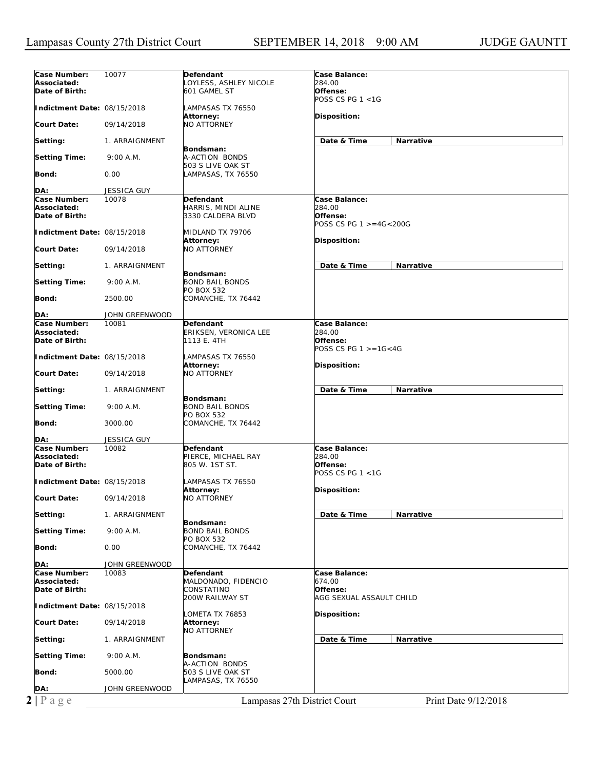| Case Number:                  | 10077              | Defendant                            | Case Balance:                      |
|-------------------------------|--------------------|--------------------------------------|------------------------------------|
| Associated:                   |                    | LOYLESS, ASHLEY NICOLE               | 284.00                             |
| Date of Birth:                |                    | 601 GAMEL ST                         | Offense:                           |
|                               |                    |                                      | POSS CS PG 1 <1G                   |
| Indictment Date: 08/15/2018   |                    | LAMPASAS TX 76550                    |                                    |
| <b>Court Date:</b>            | 09/14/2018         | Attorney:<br><b>NO ATTORNEY</b>      | <b>Disposition:</b>                |
|                               |                    |                                      |                                    |
| Setting:                      | 1. ARRAIGNMENT     |                                      | Date & Time<br>Narrative           |
|                               |                    | Bondsman:                            |                                    |
| <b>Setting Time:</b>          | 9:00 A.M.          | A-ACTION BONDS<br>503 S LIVE OAK ST  |                                    |
| Bond:                         | 0.00               | LAMPASAS, TX 76550                   |                                    |
|                               |                    |                                      |                                    |
| DA:                           | <b>JESSICA GUY</b> |                                      |                                    |
| Case Number:                  | 10078              | <b>Defendant</b>                     | Case Balance:                      |
| Associated:                   |                    | HARRIS, MINDI ALINE                  | 284.00                             |
| Date of Birth:                |                    | 3330 CALDERA BLVD                    | Offense:<br>POSS CS PG 1 >=4G<200G |
| Indictment Date: 08/15/2018   |                    | MIDLAND TX 79706                     |                                    |
|                               |                    | Attorney:                            | <b>Disposition:</b>                |
| <b>Court Date:</b>            | 09/14/2018         | <b>NO ATTORNEY</b>                   |                                    |
|                               |                    |                                      |                                    |
| Setting:                      | 1. ARRAIGNMENT     |                                      | Date & Time<br><b>Narrative</b>    |
| <b>Setting Time:</b>          | 9:00 A.M.          | Bondsman:<br><b>BOND BAIL BONDS</b>  |                                    |
|                               |                    | PO BOX 532                           |                                    |
| Bond:                         | 2500.00            | COMANCHE, TX 76442                   |                                    |
|                               |                    |                                      |                                    |
| DA:                           | JOHN GREENWOOD     |                                      |                                    |
| Case Number:<br>Associated:   | 10081              | Defendant<br>ERIKSEN, VERONICA LEE   | Case Balance:<br>284.00            |
| Date of Birth:                |                    | 1113 E. 4TH                          | Offense:                           |
|                               |                    |                                      | POSS CS PG $1 > = 16 < 4G$         |
| Indictment Date: 08/15/2018   |                    | LAMPASAS TX 76550                    |                                    |
|                               |                    | Attorney:                            | Disposition:                       |
| <b>Court Date:</b>            | 09/14/2018         | <b>NO ATTORNEY</b>                   |                                    |
| Setting:                      | 1. ARRAIGNMENT     |                                      | Date & Time<br>Narrative           |
|                               |                    | Bondsman:                            |                                    |
| <b>Setting Time:</b>          | 9:00 A.M.          | <b>BOND BAIL BONDS</b>               |                                    |
|                               |                    | PO BOX 532                           |                                    |
| Bond:                         | 3000.00            | COMANCHE, TX 76442                   |                                    |
| DA:                           | JESSICA GUY        |                                      |                                    |
| Case Number:                  | 10082              | Defendant                            | Case Balance:                      |
| Associated:                   |                    | PIERCE, MICHAEL RAY                  | 284.00                             |
| Date of Birth:                |                    | 805 W. 1ST ST.                       | Offense:                           |
|                               |                    |                                      | POSS CS PG $1 < 1G$                |
| Indictment Date: 08/15/2018   |                    | LAMPASAS TX 76550<br>Attorney:       | Disposition:                       |
| <b>Court Date:</b>            | 09/14/2018         | <b>NO ATTORNEY</b>                   |                                    |
|                               |                    |                                      |                                    |
| Setting:                      | 1. ARRAIGNMENT     |                                      | Date & Time<br>Narrative           |
|                               |                    | Bondsman:                            |                                    |
| <b>Setting Time:</b>          | 9:00 A.M.          | <b>BOND BAIL BONDS</b><br>PO BOX 532 |                                    |
| Bond:                         | 0.00               | COMANCHE, TX 76442                   |                                    |
|                               |                    |                                      |                                    |
| DA:                           | JOHN GREENWOOD     |                                      |                                    |
| Case Number:                  | 10083              | <b>Defendant</b>                     | Case Balance:                      |
| Associated:<br>Date of Birth: |                    | MALDONADO, FIDENCIO<br>CONSTATINO    | 674.00<br>Offense:                 |
|                               |                    | 200W RAILWAY ST                      | AGG SEXUAL ASSAULT CHILD           |
| Indictment Date: 08/15/2018   |                    |                                      |                                    |
|                               |                    | LOMETA TX 76853                      | <b>Disposition:</b>                |
| <b>Court Date:</b>            | 09/14/2018         | Attorney:                            |                                    |
|                               |                    | <b>NO ATTORNEY</b>                   | Date & Time                        |
| Setting:                      | 1. ARRAIGNMENT     |                                      | <b>Narrative</b>                   |
| <b>Setting Time:</b>          | 9:00 A.M.          | Bondsman:                            |                                    |
|                               |                    | A-ACTION BONDS                       |                                    |
| Bond:                         | 5000.00            | 503 S LIVE OAK ST                    |                                    |
|                               |                    | LAMPASAS, TX 76550                   |                                    |
| DA:                           | JOHN GREENWOOD     |                                      |                                    |
| $2 P \text{ a } g e$          |                    | Lampasas 27th District Court         | Print Date 9/12/2018               |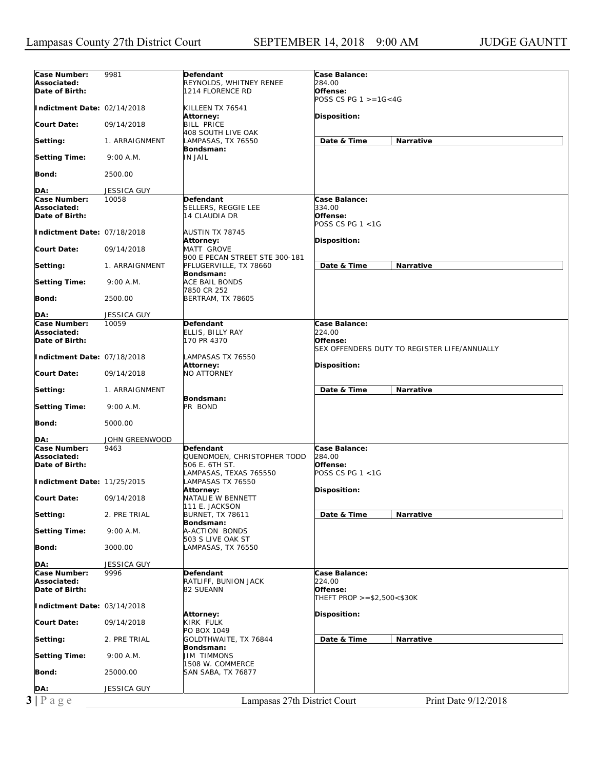| Case Number:                   | 9981                        | Defendant                      | <b>Case Balance:</b>                         |
|--------------------------------|-----------------------------|--------------------------------|----------------------------------------------|
| Associated:                    |                             |                                | 284.00                                       |
|                                |                             | REYNOLDS, WHITNEY RENEE        |                                              |
| Date of Birth:                 |                             | 1214 FLORENCE RD               | Offense:                                     |
|                                |                             |                                | POSS CS PG $1 > = 16 < 4G$                   |
| Indictment Date: 02/14/2018    |                             | KILLEEN TX 76541               |                                              |
|                                |                             |                                |                                              |
|                                |                             | Attorney:                      | Disposition:                                 |
| <b>Court Date:</b>             | 09/14/2018                  | <b>BILL PRICE</b>              |                                              |
|                                |                             | 408 SOUTH LIVE OAK             |                                              |
|                                |                             |                                |                                              |
| Setting:                       | 1. ARRAIGNMENT              | LAMPASAS, TX 76550             | Date & Time<br>Narrative                     |
|                                |                             | Bondsman:                      |                                              |
| <b>Setting Time:</b>           | 9:00 A.M.                   | <b>IN JAIL</b>                 |                                              |
|                                |                             |                                |                                              |
|                                |                             |                                |                                              |
| Bond:                          | 2500.00                     |                                |                                              |
|                                |                             |                                |                                              |
|                                |                             |                                |                                              |
| DA:                            | JESSICA GUY                 |                                |                                              |
| Case Number:                   | 10058                       | Defendant                      | Case Balance:                                |
| Associated:                    |                             | SELLERS, REGGIE LEE            | 334.00                                       |
| Date of Birth:                 |                             | 14 CLAUDIA DR                  | Offense:                                     |
|                                |                             |                                |                                              |
|                                |                             |                                | POSS CS PG $1 < 1G$                          |
| Indictment Date: 07/18/2018    |                             | AUSTIN TX 78745                |                                              |
|                                |                             |                                |                                              |
|                                |                             | Attorney:                      | Disposition:                                 |
| <b>Court Date:</b>             | 09/14/2018                  | MATT GROVE                     |                                              |
|                                |                             | 900 E PECAN STREET STE 300-181 |                                              |
| Setting:                       | 1. ARRAIGNMENT              | PFLUGERVILLE, TX 78660         | Date & Time<br>Narrative                     |
|                                |                             |                                |                                              |
|                                |                             | Bondsman:                      |                                              |
| <b>Setting Time:</b>           | 9:00 A.M.                   | <b>ACE BAIL BONDS</b>          |                                              |
|                                |                             | 7850 CR 252                    |                                              |
|                                |                             |                                |                                              |
| Bond:                          | 2500.00                     | <b>BERTRAM, TX 78605</b>       |                                              |
|                                |                             |                                |                                              |
| DA:                            | <b>JESSICA GUY</b>          |                                |                                              |
|                                |                             |                                |                                              |
| Case Number:                   | 10059                       | Defendant                      | Case Balance:                                |
| Associated:                    |                             | ELLIS, BILLY RAY               | 224.00                                       |
| Date of Birth:                 |                             | 170 PR 4370                    | Offense:                                     |
|                                |                             |                                |                                              |
|                                |                             |                                | SEX OFFENDERS DUTY TO REGISTER LIFE/ANNUALLY |
| Indictment Date: 07/18/2018    |                             | LAMPASAS TX 76550              |                                              |
|                                |                             | Attorney:                      | Disposition:                                 |
| <b>Court Date:</b>             | 09/14/2018                  | <b>NO ATTORNEY</b>             |                                              |
|                                |                             |                                |                                              |
|                                |                             |                                |                                              |
| Setting:                       | 1. ARRAIGNMENT              |                                | Date & Time<br>Narrative                     |
|                                |                             | Bondsman:                      |                                              |
|                                |                             | PR BOND                        |                                              |
| <b>Setting Time:</b>           | 9:00 A.M.                   |                                |                                              |
|                                |                             |                                |                                              |
| Bond:                          | 5000.00                     |                                |                                              |
|                                |                             |                                |                                              |
|                                |                             |                                |                                              |
| DA:                            | JOHN GREENWOOD              |                                |                                              |
| Case Number:                   | 9463                        | Defendant                      | Case Balance:                                |
| Associated:                    |                             | QUENOMOEN, CHRISTOPHER TODD    | 284.00                                       |
|                                |                             |                                |                                              |
| Date of Birth:                 |                             |                                |                                              |
|                                |                             | 506 E. 6TH ST.                 | Offense:                                     |
|                                |                             | LAMPASAS, TEXAS 765550         | POSS CS PG $1 < 1G$                          |
|                                |                             |                                |                                              |
|                                | Indictment Date: 11/25/2015 | LAMPASAS TX 76550              |                                              |
|                                |                             | Attorney:                      | Disposition:                                 |
| <b>Court Date:</b>             | 09/14/2018                  | NATALIE W BENNETT              |                                              |
|                                |                             |                                |                                              |
|                                |                             | 111 E. JACKSON                 |                                              |
| Setting:                       | 2. PRE TRIAL                | <b>BURNET, TX 78611</b>        | Date & Time<br>Narrative                     |
|                                |                             | Bondsman:                      |                                              |
|                                | 9:00 A.M.                   | A-ACTION BONDS                 |                                              |
| <b>Setting Time:</b>           |                             |                                |                                              |
|                                |                             | 503 S LIVE OAK ST              |                                              |
|                                | 3000.00                     | LAMPASAS, TX 76550             |                                              |
| Bond:                          |                             |                                |                                              |
|                                |                             |                                |                                              |
| DA:                            | JESSICA GUY                 |                                |                                              |
| Case Number:                   | 9996                        | Defendant                      | Case Balance:                                |
| Associated:                    |                             | RATLIFF, BUNION JACK           | 224.00                                       |
| Date of Birth:                 |                             | 82 SUEANN                      | Offense:                                     |
|                                |                             |                                |                                              |
|                                |                             |                                | THEFT PROP >=\$2,500<\$30K                   |
| Indictment Date: 03/14/2018    |                             |                                |                                              |
|                                |                             |                                |                                              |
|                                |                             | Attorney:                      | Disposition:                                 |
|                                | 09/14/2018                  | KIRK FULK                      |                                              |
|                                |                             | PO BOX 1049                    |                                              |
| <b>Court Date:</b><br>Setting: | 2. PRE TRIAL                | GOLDTHWAITE, TX 76844          | Date & Time<br>Narrative                     |
|                                |                             |                                |                                              |
|                                |                             | Bondsman:                      |                                              |
| <b>Setting Time:</b>           | 9:00 A.M.                   | JIM TIMMONS                    |                                              |
|                                |                             | 1508 W. COMMERCE               |                                              |
| Bond:                          |                             |                                |                                              |
|                                | 25000.00                    | SAN SABA, TX 76877             |                                              |
|                                |                             |                                |                                              |
| DA:                            | JESSICA GUY                 |                                |                                              |
| $3 P \text{ a } g e$           |                             | Lampasas 27th District Court   | Print Date 9/12/2018                         |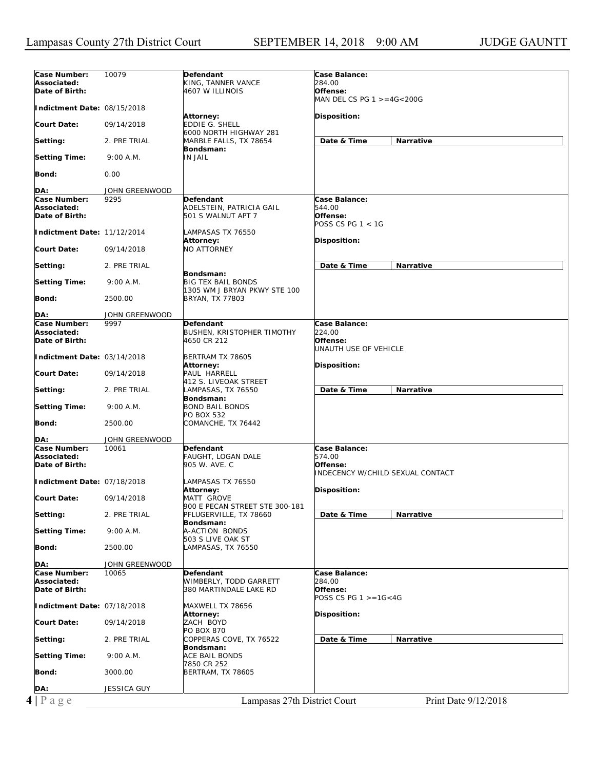| Case Number:                | 10079          | Defendant                         | Case Balance:                    |
|-----------------------------|----------------|-----------------------------------|----------------------------------|
|                             |                |                                   |                                  |
| Associated:                 |                | KING, TANNER VANCE                | 284.00                           |
| Date of Birth:              |                | 4607 W ILLINOIS                   | Offense:                         |
|                             |                |                                   | MAN DEL CS PG $1 > = 4G < 200G$  |
| Indictment Date: 08/15/2018 |                |                                   |                                  |
|                             |                |                                   |                                  |
|                             |                | Attorney:                         | Disposition:                     |
| <b>Court Date:</b>          | 09/14/2018     | EDDIE G. SHELL                    |                                  |
|                             |                | 6000 NORTH HIGHWAY 281            |                                  |
|                             |                |                                   |                                  |
| Setting:                    | 2. PRE TRIAL   | MARBLE FALLS, TX 78654            | Date & Time<br>Narrative         |
|                             |                | Bondsman:                         |                                  |
| <b>Setting Time:</b>        | 9:00 A.M.      | <b>IN JAIL</b>                    |                                  |
|                             |                |                                   |                                  |
|                             |                |                                   |                                  |
| Bond:                       | 0.00           |                                   |                                  |
|                             |                |                                   |                                  |
| DA:                         | JOHN GREENWOOD |                                   |                                  |
| Case Number:                | 9295           | <b>Defendant</b>                  | Case Balance:                    |
|                             |                |                                   |                                  |
| Associated:                 |                | ADELSTEIN, PATRICIA GAIL          | 544.00                           |
| Date of Birth:              |                | 501 S WALNUT APT 7                | Offense:                         |
|                             |                |                                   | POSS CS PG $1 < 1$ G             |
|                             |                |                                   |                                  |
| Indictment Date: 11/12/2014 |                | LAMPASAS TX 76550                 |                                  |
|                             |                | Attorney:                         | <b>Disposition:</b>              |
| <b>Court Date:</b>          | 09/14/2018     | <b>NO ATTORNEY</b>                |                                  |
|                             |                |                                   |                                  |
|                             |                |                                   |                                  |
| Setting:                    | 2. PRE TRIAL   |                                   | Date & Time<br>Narrative         |
|                             |                | Bondsman:                         |                                  |
| <b>Setting Time:</b>        | 9:00 A.M.      | <b>BIG TEX BAIL BONDS</b>         |                                  |
|                             |                |                                   |                                  |
|                             |                | 1305 WM J BRYAN PKWY STE 100      |                                  |
| Bond:                       | 2500.00        | BRYAN, TX 77803                   |                                  |
|                             |                |                                   |                                  |
| DA:                         | JOHN GREENWOOD |                                   |                                  |
|                             |                |                                   |                                  |
| Case Number:                | 9997           | Defendant                         | Case Balance:                    |
| Associated:                 |                | <b>BUSHEN, KRISTOPHER TIMOTHY</b> | 224.00                           |
| Date of Birth:              |                | 4650 CR 212                       | Offense:                         |
|                             |                |                                   |                                  |
|                             |                |                                   | <b>UNAUTH USE OF VEHICLE</b>     |
| Indictment Date: 03/14/2018 |                | BERTRAM TX 78605                  |                                  |
|                             |                | Attorney:                         | Disposition:                     |
| <b>Court Date:</b>          | 09/14/2018     | PAUL HARRELL                      |                                  |
|                             |                |                                   |                                  |
|                             |                | 412 S. LIVEOAK STREET             |                                  |
| Setting:                    | 2. PRE TRIAL   | LAMPASAS, TX 76550                | Date & Time<br><b>Narrative</b>  |
|                             |                | Bondsman:                         |                                  |
| <b>Setting Time:</b>        | 9:00 A.M.      | <b>BOND BAIL BONDS</b>            |                                  |
|                             |                |                                   |                                  |
|                             |                | PO BOX 532                        |                                  |
| Bond:                       | 2500.00        | COMANCHE, TX 76442                |                                  |
|                             |                |                                   |                                  |
| DA:                         | JOHN GREENWOOD |                                   |                                  |
|                             |                |                                   |                                  |
| Case Number:                | 10061          | Defendant                         | Case Balance:                    |
| Associated:                 |                | FAUGHT, LOGAN DALE                | 574.00                           |
| Date of Birth:              |                | 905 W. AVE. C                     | Offense:                         |
|                             |                |                                   |                                  |
|                             |                |                                   | INDECENCY W/CHILD SEXUAL CONTACT |
| Indictment Date: 07/18/2018 |                | LAMPASAS TX 76550                 |                                  |
|                             |                | Attorney:                         | Disposition:                     |
| <b>Court Date:</b>          | 09/14/2018     | MATT GROVE                        |                                  |
|                             |                |                                   |                                  |
|                             |                | 900 E PECAN STREET STE 300-181    |                                  |
| Setting:                    | 2. PRE TRIAL   | PFLUGERVILLE, TX 78660            | Date & Time<br>Narrative         |
|                             |                | Bondsman:                         |                                  |
| <b>Setting Time:</b>        | 9:00 A.M.      | A-ACTION BONDS                    |                                  |
|                             |                |                                   |                                  |
|                             |                | 503 S LIVE OAK ST                 |                                  |
| Bond:                       | 2500.00        | LAMPASAS, TX 76550                |                                  |
|                             |                |                                   |                                  |
|                             |                |                                   |                                  |
| DA:                         | JOHN GREENWOOD |                                   |                                  |
| Case Number:                | 10065          | Defendant                         | Case Balance:                    |
| Associated:                 |                | WIMBERLY, TODD GARRETT            | 284.00                           |
| Date of Birth:              |                | 380 MARTINDALE LAKE RD            | Offense:                         |
|                             |                |                                   |                                  |
|                             |                |                                   | POSS CS PG $1 > = 16 < 4G$       |
| Indictment Date: 07/18/2018 |                | MAXWELL TX 78656                  |                                  |
|                             |                | Attorney:                         | Disposition:                     |
|                             |                |                                   |                                  |
| <b>Court Date:</b>          | 09/14/2018     | ZACH BOYD                         |                                  |
|                             |                | PO BOX 870                        |                                  |
| Setting:                    | 2. PRE TRIAL   | COPPERAS COVE, TX 76522           | Date & Time<br>Narrative         |
|                             |                | Bondsman:                         |                                  |
|                             |                |                                   |                                  |
| <b>Setting Time:</b>        | 9:00 A.M.      | ACE BAIL BONDS                    |                                  |
|                             |                | 7850 CR 252                       |                                  |
|                             |                |                                   |                                  |
|                             |                |                                   |                                  |
| Bond:                       | 3000.00        | <b>BERTRAM, TX 78605</b>          |                                  |
|                             |                |                                   |                                  |
| DA:                         | JESSICA GUY    |                                   |                                  |
| $4 P \text{ a } g e$        |                | Lampasas 27th District Court      | Print Date 9/12/2018             |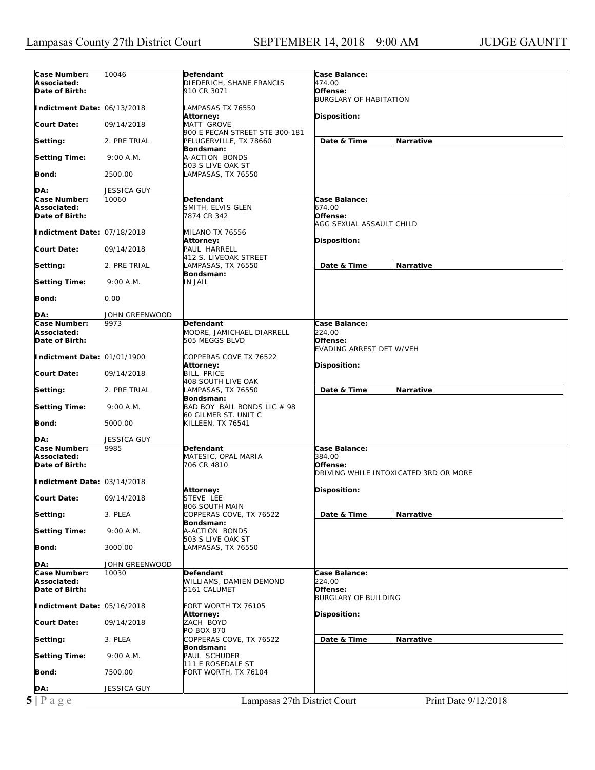| Case Number:<br>10046<br>Case Balance:<br>Defendant<br>Associated:<br>DIEDERICH, SHANE FRANCIS<br>474.00<br>Date of Birth:<br>910 CR 3071<br>Offense:<br><b>BURGLARY OF HABITATION</b><br>Indictment Date: 06/13/2018<br>LAMPASAS TX 76550<br>Disposition:<br><b>Attorney:</b><br><b>Court Date:</b><br>09/14/2018<br>MATT GROVE<br>900 E PECAN STREET STE 300-181<br>Date & Time<br>Narrative<br>Setting:<br>2. PRE TRIAL<br>PFLUGERVILLE, TX 78660<br>Bondsman:<br>A-ACTION BONDS<br><b>Setting Time:</b><br>9:00 A.M.<br>503 S LIVE OAK ST<br>Bond:<br>2500.00<br>LAMPASAS, TX 76550<br>DA:<br>JESSICA GUY<br>Case Number:<br>Case Balance:<br>10060<br>Defendant<br>Associated:<br>674.00<br>SMITH, ELVIS GLEN<br>Date of Birth:<br>7874 CR 342<br>Offense:<br>AGG SEXUAL ASSAULT CHILD<br>Indictment Date: 07/18/2018<br>MILANO TX 76556<br><b>Disposition:</b><br>Attorney:<br>PAUL HARRELL<br><b>Court Date:</b><br>09/14/2018<br>412 S. LIVEOAK STREET<br>Date & Time<br>Narrative<br>Setting:<br>2. PRE TRIAL<br>LAMPASAS, TX 76550<br>Bondsman:<br><b>IN JAIL</b><br><b>Setting Time:</b><br>9:00 A.M.<br>Bond:<br>0.00<br>JOHN GREENWOOD<br>DA:<br>Case Number:<br>9973<br>Case Balance:<br>Defendant<br>224.00<br>Associated:<br>MOORE, JAMICHAEL DIARRELL<br>Date of Birth:<br>505 MEGGS BLVD<br>Offense:<br><b>EVADING ARREST DET W/VEH</b><br>Indictment Date: 01/01/1900<br>COPPERAS COVE TX 76522<br>Disposition:<br>Attorney:<br>Court Date:<br><b>BILL PRICE</b><br>09/14/2018<br>408 SOUTH LIVE OAK<br>Date & Time<br>Narrative<br>Setting:<br>2. PRE TRIAL<br>LAMPASAS, TX 76550<br>Bondsman:<br><b>Setting Time:</b><br>9:00 A.M.<br>BAD BOY BAIL BONDS LIC # 98<br>60 GILMER ST. UNIT C<br>Bond:<br>5000.00<br>KILLEEN, TX 76541<br>DA:<br>JESSICA GUY<br>Case Number:<br>Case Balance:<br>9985<br>Defendant<br>MATESIC, OPAL MARIA<br>384.00<br>Associated:<br>Offense:<br>Date of Birth:<br>706 CR 4810<br>DRIVING WHILE INTOXICATED 3RD OR MORE<br>Indictment Date: 03/14/2018<br>Disposition:<br>Attorney:<br>STEVE LEE<br>09/14/2018<br><b>Court Date:</b><br>806 SOUTH MAIN<br>COPPERAS COVE, TX 76522<br>Date & Time<br>Setting:<br>3. PLEA<br>Narrative<br>Bondsman:<br><b>Setting Time:</b><br>A-ACTION BONDS<br>9:00 A.M.<br>503 S LIVE OAK ST<br>Bond:<br>3000.00<br>LAMPASAS, TX 76550<br>DA:<br>JOHN GREENWOOD<br>Case Number:<br>10030<br>Case Balance:<br>Defendant<br>Associated:<br>WILLIAMS, DAMIEN DEMOND<br>224.00<br>Date of Birth:<br>5161 CALUMET<br>Offense:<br><b>BURGLARY OF BUILDING</b><br>FORT WORTH TX 76105<br>Indictment Date: 05/16/2018<br><b>Disposition:</b><br>Attorney:<br><b>Court Date:</b><br>ZACH BOYD<br>09/14/2018<br>PO BOX 870<br>COPPERAS COVE, TX 76522<br>Date & Time<br>Narrative<br>Setting:<br>3. PLEA<br>Bondsman:<br><b>Setting Time:</b><br>9:00 A.M.<br>PAUL SCHUDER<br>111 E ROSEDALE ST<br>Bond:<br>7500.00<br>FORT WORTH, TX 76104<br>JESSICA GUY<br>DA:<br>5 Page |                                                      |  |  |  |  |  |
|------------------------------------------------------------------------------------------------------------------------------------------------------------------------------------------------------------------------------------------------------------------------------------------------------------------------------------------------------------------------------------------------------------------------------------------------------------------------------------------------------------------------------------------------------------------------------------------------------------------------------------------------------------------------------------------------------------------------------------------------------------------------------------------------------------------------------------------------------------------------------------------------------------------------------------------------------------------------------------------------------------------------------------------------------------------------------------------------------------------------------------------------------------------------------------------------------------------------------------------------------------------------------------------------------------------------------------------------------------------------------------------------------------------------------------------------------------------------------------------------------------------------------------------------------------------------------------------------------------------------------------------------------------------------------------------------------------------------------------------------------------------------------------------------------------------------------------------------------------------------------------------------------------------------------------------------------------------------------------------------------------------------------------------------------------------------------------------------------------------------------------------------------------------------------------------------------------------------------------------------------------------------------------------------------------------------------------------------------------------------------------------------------------------------------------------------------------------------------------------------------------------------------------------------------------------------------------------------------------------------------------------------------------------------------------------------------------------------------------------------------------------------------------------------------------------------------------------------------------------------------------------------------------------------------------------------------|------------------------------------------------------|--|--|--|--|--|
|                                                                                                                                                                                                                                                                                                                                                                                                                                                                                                                                                                                                                                                                                                                                                                                                                                                                                                                                                                                                                                                                                                                                                                                                                                                                                                                                                                                                                                                                                                                                                                                                                                                                                                                                                                                                                                                                                                                                                                                                                                                                                                                                                                                                                                                                                                                                                                                                                                                                                                                                                                                                                                                                                                                                                                                                                                                                                                                                                      |                                                      |  |  |  |  |  |
|                                                                                                                                                                                                                                                                                                                                                                                                                                                                                                                                                                                                                                                                                                                                                                                                                                                                                                                                                                                                                                                                                                                                                                                                                                                                                                                                                                                                                                                                                                                                                                                                                                                                                                                                                                                                                                                                                                                                                                                                                                                                                                                                                                                                                                                                                                                                                                                                                                                                                                                                                                                                                                                                                                                                                                                                                                                                                                                                                      |                                                      |  |  |  |  |  |
|                                                                                                                                                                                                                                                                                                                                                                                                                                                                                                                                                                                                                                                                                                                                                                                                                                                                                                                                                                                                                                                                                                                                                                                                                                                                                                                                                                                                                                                                                                                                                                                                                                                                                                                                                                                                                                                                                                                                                                                                                                                                                                                                                                                                                                                                                                                                                                                                                                                                                                                                                                                                                                                                                                                                                                                                                                                                                                                                                      |                                                      |  |  |  |  |  |
|                                                                                                                                                                                                                                                                                                                                                                                                                                                                                                                                                                                                                                                                                                                                                                                                                                                                                                                                                                                                                                                                                                                                                                                                                                                                                                                                                                                                                                                                                                                                                                                                                                                                                                                                                                                                                                                                                                                                                                                                                                                                                                                                                                                                                                                                                                                                                                                                                                                                                                                                                                                                                                                                                                                                                                                                                                                                                                                                                      |                                                      |  |  |  |  |  |
|                                                                                                                                                                                                                                                                                                                                                                                                                                                                                                                                                                                                                                                                                                                                                                                                                                                                                                                                                                                                                                                                                                                                                                                                                                                                                                                                                                                                                                                                                                                                                                                                                                                                                                                                                                                                                                                                                                                                                                                                                                                                                                                                                                                                                                                                                                                                                                                                                                                                                                                                                                                                                                                                                                                                                                                                                                                                                                                                                      |                                                      |  |  |  |  |  |
|                                                                                                                                                                                                                                                                                                                                                                                                                                                                                                                                                                                                                                                                                                                                                                                                                                                                                                                                                                                                                                                                                                                                                                                                                                                                                                                                                                                                                                                                                                                                                                                                                                                                                                                                                                                                                                                                                                                                                                                                                                                                                                                                                                                                                                                                                                                                                                                                                                                                                                                                                                                                                                                                                                                                                                                                                                                                                                                                                      |                                                      |  |  |  |  |  |
|                                                                                                                                                                                                                                                                                                                                                                                                                                                                                                                                                                                                                                                                                                                                                                                                                                                                                                                                                                                                                                                                                                                                                                                                                                                                                                                                                                                                                                                                                                                                                                                                                                                                                                                                                                                                                                                                                                                                                                                                                                                                                                                                                                                                                                                                                                                                                                                                                                                                                                                                                                                                                                                                                                                                                                                                                                                                                                                                                      |                                                      |  |  |  |  |  |
|                                                                                                                                                                                                                                                                                                                                                                                                                                                                                                                                                                                                                                                                                                                                                                                                                                                                                                                                                                                                                                                                                                                                                                                                                                                                                                                                                                                                                                                                                                                                                                                                                                                                                                                                                                                                                                                                                                                                                                                                                                                                                                                                                                                                                                                                                                                                                                                                                                                                                                                                                                                                                                                                                                                                                                                                                                                                                                                                                      |                                                      |  |  |  |  |  |
|                                                                                                                                                                                                                                                                                                                                                                                                                                                                                                                                                                                                                                                                                                                                                                                                                                                                                                                                                                                                                                                                                                                                                                                                                                                                                                                                                                                                                                                                                                                                                                                                                                                                                                                                                                                                                                                                                                                                                                                                                                                                                                                                                                                                                                                                                                                                                                                                                                                                                                                                                                                                                                                                                                                                                                                                                                                                                                                                                      |                                                      |  |  |  |  |  |
|                                                                                                                                                                                                                                                                                                                                                                                                                                                                                                                                                                                                                                                                                                                                                                                                                                                                                                                                                                                                                                                                                                                                                                                                                                                                                                                                                                                                                                                                                                                                                                                                                                                                                                                                                                                                                                                                                                                                                                                                                                                                                                                                                                                                                                                                                                                                                                                                                                                                                                                                                                                                                                                                                                                                                                                                                                                                                                                                                      |                                                      |  |  |  |  |  |
|                                                                                                                                                                                                                                                                                                                                                                                                                                                                                                                                                                                                                                                                                                                                                                                                                                                                                                                                                                                                                                                                                                                                                                                                                                                                                                                                                                                                                                                                                                                                                                                                                                                                                                                                                                                                                                                                                                                                                                                                                                                                                                                                                                                                                                                                                                                                                                                                                                                                                                                                                                                                                                                                                                                                                                                                                                                                                                                                                      |                                                      |  |  |  |  |  |
|                                                                                                                                                                                                                                                                                                                                                                                                                                                                                                                                                                                                                                                                                                                                                                                                                                                                                                                                                                                                                                                                                                                                                                                                                                                                                                                                                                                                                                                                                                                                                                                                                                                                                                                                                                                                                                                                                                                                                                                                                                                                                                                                                                                                                                                                                                                                                                                                                                                                                                                                                                                                                                                                                                                                                                                                                                                                                                                                                      |                                                      |  |  |  |  |  |
|                                                                                                                                                                                                                                                                                                                                                                                                                                                                                                                                                                                                                                                                                                                                                                                                                                                                                                                                                                                                                                                                                                                                                                                                                                                                                                                                                                                                                                                                                                                                                                                                                                                                                                                                                                                                                                                                                                                                                                                                                                                                                                                                                                                                                                                                                                                                                                                                                                                                                                                                                                                                                                                                                                                                                                                                                                                                                                                                                      |                                                      |  |  |  |  |  |
|                                                                                                                                                                                                                                                                                                                                                                                                                                                                                                                                                                                                                                                                                                                                                                                                                                                                                                                                                                                                                                                                                                                                                                                                                                                                                                                                                                                                                                                                                                                                                                                                                                                                                                                                                                                                                                                                                                                                                                                                                                                                                                                                                                                                                                                                                                                                                                                                                                                                                                                                                                                                                                                                                                                                                                                                                                                                                                                                                      |                                                      |  |  |  |  |  |
|                                                                                                                                                                                                                                                                                                                                                                                                                                                                                                                                                                                                                                                                                                                                                                                                                                                                                                                                                                                                                                                                                                                                                                                                                                                                                                                                                                                                                                                                                                                                                                                                                                                                                                                                                                                                                                                                                                                                                                                                                                                                                                                                                                                                                                                                                                                                                                                                                                                                                                                                                                                                                                                                                                                                                                                                                                                                                                                                                      |                                                      |  |  |  |  |  |
|                                                                                                                                                                                                                                                                                                                                                                                                                                                                                                                                                                                                                                                                                                                                                                                                                                                                                                                                                                                                                                                                                                                                                                                                                                                                                                                                                                                                                                                                                                                                                                                                                                                                                                                                                                                                                                                                                                                                                                                                                                                                                                                                                                                                                                                                                                                                                                                                                                                                                                                                                                                                                                                                                                                                                                                                                                                                                                                                                      |                                                      |  |  |  |  |  |
|                                                                                                                                                                                                                                                                                                                                                                                                                                                                                                                                                                                                                                                                                                                                                                                                                                                                                                                                                                                                                                                                                                                                                                                                                                                                                                                                                                                                                                                                                                                                                                                                                                                                                                                                                                                                                                                                                                                                                                                                                                                                                                                                                                                                                                                                                                                                                                                                                                                                                                                                                                                                                                                                                                                                                                                                                                                                                                                                                      |                                                      |  |  |  |  |  |
|                                                                                                                                                                                                                                                                                                                                                                                                                                                                                                                                                                                                                                                                                                                                                                                                                                                                                                                                                                                                                                                                                                                                                                                                                                                                                                                                                                                                                                                                                                                                                                                                                                                                                                                                                                                                                                                                                                                                                                                                                                                                                                                                                                                                                                                                                                                                                                                                                                                                                                                                                                                                                                                                                                                                                                                                                                                                                                                                                      |                                                      |  |  |  |  |  |
|                                                                                                                                                                                                                                                                                                                                                                                                                                                                                                                                                                                                                                                                                                                                                                                                                                                                                                                                                                                                                                                                                                                                                                                                                                                                                                                                                                                                                                                                                                                                                                                                                                                                                                                                                                                                                                                                                                                                                                                                                                                                                                                                                                                                                                                                                                                                                                                                                                                                                                                                                                                                                                                                                                                                                                                                                                                                                                                                                      |                                                      |  |  |  |  |  |
|                                                                                                                                                                                                                                                                                                                                                                                                                                                                                                                                                                                                                                                                                                                                                                                                                                                                                                                                                                                                                                                                                                                                                                                                                                                                                                                                                                                                                                                                                                                                                                                                                                                                                                                                                                                                                                                                                                                                                                                                                                                                                                                                                                                                                                                                                                                                                                                                                                                                                                                                                                                                                                                                                                                                                                                                                                                                                                                                                      |                                                      |  |  |  |  |  |
|                                                                                                                                                                                                                                                                                                                                                                                                                                                                                                                                                                                                                                                                                                                                                                                                                                                                                                                                                                                                                                                                                                                                                                                                                                                                                                                                                                                                                                                                                                                                                                                                                                                                                                                                                                                                                                                                                                                                                                                                                                                                                                                                                                                                                                                                                                                                                                                                                                                                                                                                                                                                                                                                                                                                                                                                                                                                                                                                                      |                                                      |  |  |  |  |  |
|                                                                                                                                                                                                                                                                                                                                                                                                                                                                                                                                                                                                                                                                                                                                                                                                                                                                                                                                                                                                                                                                                                                                                                                                                                                                                                                                                                                                                                                                                                                                                                                                                                                                                                                                                                                                                                                                                                                                                                                                                                                                                                                                                                                                                                                                                                                                                                                                                                                                                                                                                                                                                                                                                                                                                                                                                                                                                                                                                      |                                                      |  |  |  |  |  |
|                                                                                                                                                                                                                                                                                                                                                                                                                                                                                                                                                                                                                                                                                                                                                                                                                                                                                                                                                                                                                                                                                                                                                                                                                                                                                                                                                                                                                                                                                                                                                                                                                                                                                                                                                                                                                                                                                                                                                                                                                                                                                                                                                                                                                                                                                                                                                                                                                                                                                                                                                                                                                                                                                                                                                                                                                                                                                                                                                      |                                                      |  |  |  |  |  |
|                                                                                                                                                                                                                                                                                                                                                                                                                                                                                                                                                                                                                                                                                                                                                                                                                                                                                                                                                                                                                                                                                                                                                                                                                                                                                                                                                                                                                                                                                                                                                                                                                                                                                                                                                                                                                                                                                                                                                                                                                                                                                                                                                                                                                                                                                                                                                                                                                                                                                                                                                                                                                                                                                                                                                                                                                                                                                                                                                      |                                                      |  |  |  |  |  |
|                                                                                                                                                                                                                                                                                                                                                                                                                                                                                                                                                                                                                                                                                                                                                                                                                                                                                                                                                                                                                                                                                                                                                                                                                                                                                                                                                                                                                                                                                                                                                                                                                                                                                                                                                                                                                                                                                                                                                                                                                                                                                                                                                                                                                                                                                                                                                                                                                                                                                                                                                                                                                                                                                                                                                                                                                                                                                                                                                      |                                                      |  |  |  |  |  |
|                                                                                                                                                                                                                                                                                                                                                                                                                                                                                                                                                                                                                                                                                                                                                                                                                                                                                                                                                                                                                                                                                                                                                                                                                                                                                                                                                                                                                                                                                                                                                                                                                                                                                                                                                                                                                                                                                                                                                                                                                                                                                                                                                                                                                                                                                                                                                                                                                                                                                                                                                                                                                                                                                                                                                                                                                                                                                                                                                      |                                                      |  |  |  |  |  |
|                                                                                                                                                                                                                                                                                                                                                                                                                                                                                                                                                                                                                                                                                                                                                                                                                                                                                                                                                                                                                                                                                                                                                                                                                                                                                                                                                                                                                                                                                                                                                                                                                                                                                                                                                                                                                                                                                                                                                                                                                                                                                                                                                                                                                                                                                                                                                                                                                                                                                                                                                                                                                                                                                                                                                                                                                                                                                                                                                      |                                                      |  |  |  |  |  |
|                                                                                                                                                                                                                                                                                                                                                                                                                                                                                                                                                                                                                                                                                                                                                                                                                                                                                                                                                                                                                                                                                                                                                                                                                                                                                                                                                                                                                                                                                                                                                                                                                                                                                                                                                                                                                                                                                                                                                                                                                                                                                                                                                                                                                                                                                                                                                                                                                                                                                                                                                                                                                                                                                                                                                                                                                                                                                                                                                      |                                                      |  |  |  |  |  |
|                                                                                                                                                                                                                                                                                                                                                                                                                                                                                                                                                                                                                                                                                                                                                                                                                                                                                                                                                                                                                                                                                                                                                                                                                                                                                                                                                                                                                                                                                                                                                                                                                                                                                                                                                                                                                                                                                                                                                                                                                                                                                                                                                                                                                                                                                                                                                                                                                                                                                                                                                                                                                                                                                                                                                                                                                                                                                                                                                      |                                                      |  |  |  |  |  |
|                                                                                                                                                                                                                                                                                                                                                                                                                                                                                                                                                                                                                                                                                                                                                                                                                                                                                                                                                                                                                                                                                                                                                                                                                                                                                                                                                                                                                                                                                                                                                                                                                                                                                                                                                                                                                                                                                                                                                                                                                                                                                                                                                                                                                                                                                                                                                                                                                                                                                                                                                                                                                                                                                                                                                                                                                                                                                                                                                      |                                                      |  |  |  |  |  |
|                                                                                                                                                                                                                                                                                                                                                                                                                                                                                                                                                                                                                                                                                                                                                                                                                                                                                                                                                                                                                                                                                                                                                                                                                                                                                                                                                                                                                                                                                                                                                                                                                                                                                                                                                                                                                                                                                                                                                                                                                                                                                                                                                                                                                                                                                                                                                                                                                                                                                                                                                                                                                                                                                                                                                                                                                                                                                                                                                      |                                                      |  |  |  |  |  |
|                                                                                                                                                                                                                                                                                                                                                                                                                                                                                                                                                                                                                                                                                                                                                                                                                                                                                                                                                                                                                                                                                                                                                                                                                                                                                                                                                                                                                                                                                                                                                                                                                                                                                                                                                                                                                                                                                                                                                                                                                                                                                                                                                                                                                                                                                                                                                                                                                                                                                                                                                                                                                                                                                                                                                                                                                                                                                                                                                      |                                                      |  |  |  |  |  |
|                                                                                                                                                                                                                                                                                                                                                                                                                                                                                                                                                                                                                                                                                                                                                                                                                                                                                                                                                                                                                                                                                                                                                                                                                                                                                                                                                                                                                                                                                                                                                                                                                                                                                                                                                                                                                                                                                                                                                                                                                                                                                                                                                                                                                                                                                                                                                                                                                                                                                                                                                                                                                                                                                                                                                                                                                                                                                                                                                      |                                                      |  |  |  |  |  |
|                                                                                                                                                                                                                                                                                                                                                                                                                                                                                                                                                                                                                                                                                                                                                                                                                                                                                                                                                                                                                                                                                                                                                                                                                                                                                                                                                                                                                                                                                                                                                                                                                                                                                                                                                                                                                                                                                                                                                                                                                                                                                                                                                                                                                                                                                                                                                                                                                                                                                                                                                                                                                                                                                                                                                                                                                                                                                                                                                      |                                                      |  |  |  |  |  |
|                                                                                                                                                                                                                                                                                                                                                                                                                                                                                                                                                                                                                                                                                                                                                                                                                                                                                                                                                                                                                                                                                                                                                                                                                                                                                                                                                                                                                                                                                                                                                                                                                                                                                                                                                                                                                                                                                                                                                                                                                                                                                                                                                                                                                                                                                                                                                                                                                                                                                                                                                                                                                                                                                                                                                                                                                                                                                                                                                      |                                                      |  |  |  |  |  |
|                                                                                                                                                                                                                                                                                                                                                                                                                                                                                                                                                                                                                                                                                                                                                                                                                                                                                                                                                                                                                                                                                                                                                                                                                                                                                                                                                                                                                                                                                                                                                                                                                                                                                                                                                                                                                                                                                                                                                                                                                                                                                                                                                                                                                                                                                                                                                                                                                                                                                                                                                                                                                                                                                                                                                                                                                                                                                                                                                      |                                                      |  |  |  |  |  |
|                                                                                                                                                                                                                                                                                                                                                                                                                                                                                                                                                                                                                                                                                                                                                                                                                                                                                                                                                                                                                                                                                                                                                                                                                                                                                                                                                                                                                                                                                                                                                                                                                                                                                                                                                                                                                                                                                                                                                                                                                                                                                                                                                                                                                                                                                                                                                                                                                                                                                                                                                                                                                                                                                                                                                                                                                                                                                                                                                      |                                                      |  |  |  |  |  |
|                                                                                                                                                                                                                                                                                                                                                                                                                                                                                                                                                                                                                                                                                                                                                                                                                                                                                                                                                                                                                                                                                                                                                                                                                                                                                                                                                                                                                                                                                                                                                                                                                                                                                                                                                                                                                                                                                                                                                                                                                                                                                                                                                                                                                                                                                                                                                                                                                                                                                                                                                                                                                                                                                                                                                                                                                                                                                                                                                      |                                                      |  |  |  |  |  |
|                                                                                                                                                                                                                                                                                                                                                                                                                                                                                                                                                                                                                                                                                                                                                                                                                                                                                                                                                                                                                                                                                                                                                                                                                                                                                                                                                                                                                                                                                                                                                                                                                                                                                                                                                                                                                                                                                                                                                                                                                                                                                                                                                                                                                                                                                                                                                                                                                                                                                                                                                                                                                                                                                                                                                                                                                                                                                                                                                      |                                                      |  |  |  |  |  |
|                                                                                                                                                                                                                                                                                                                                                                                                                                                                                                                                                                                                                                                                                                                                                                                                                                                                                                                                                                                                                                                                                                                                                                                                                                                                                                                                                                                                                                                                                                                                                                                                                                                                                                                                                                                                                                                                                                                                                                                                                                                                                                                                                                                                                                                                                                                                                                                                                                                                                                                                                                                                                                                                                                                                                                                                                                                                                                                                                      |                                                      |  |  |  |  |  |
|                                                                                                                                                                                                                                                                                                                                                                                                                                                                                                                                                                                                                                                                                                                                                                                                                                                                                                                                                                                                                                                                                                                                                                                                                                                                                                                                                                                                                                                                                                                                                                                                                                                                                                                                                                                                                                                                                                                                                                                                                                                                                                                                                                                                                                                                                                                                                                                                                                                                                                                                                                                                                                                                                                                                                                                                                                                                                                                                                      |                                                      |  |  |  |  |  |
|                                                                                                                                                                                                                                                                                                                                                                                                                                                                                                                                                                                                                                                                                                                                                                                                                                                                                                                                                                                                                                                                                                                                                                                                                                                                                                                                                                                                                                                                                                                                                                                                                                                                                                                                                                                                                                                                                                                                                                                                                                                                                                                                                                                                                                                                                                                                                                                                                                                                                                                                                                                                                                                                                                                                                                                                                                                                                                                                                      |                                                      |  |  |  |  |  |
|                                                                                                                                                                                                                                                                                                                                                                                                                                                                                                                                                                                                                                                                                                                                                                                                                                                                                                                                                                                                                                                                                                                                                                                                                                                                                                                                                                                                                                                                                                                                                                                                                                                                                                                                                                                                                                                                                                                                                                                                                                                                                                                                                                                                                                                                                                                                                                                                                                                                                                                                                                                                                                                                                                                                                                                                                                                                                                                                                      |                                                      |  |  |  |  |  |
|                                                                                                                                                                                                                                                                                                                                                                                                                                                                                                                                                                                                                                                                                                                                                                                                                                                                                                                                                                                                                                                                                                                                                                                                                                                                                                                                                                                                                                                                                                                                                                                                                                                                                                                                                                                                                                                                                                                                                                                                                                                                                                                                                                                                                                                                                                                                                                                                                                                                                                                                                                                                                                                                                                                                                                                                                                                                                                                                                      |                                                      |  |  |  |  |  |
|                                                                                                                                                                                                                                                                                                                                                                                                                                                                                                                                                                                                                                                                                                                                                                                                                                                                                                                                                                                                                                                                                                                                                                                                                                                                                                                                                                                                                                                                                                                                                                                                                                                                                                                                                                                                                                                                                                                                                                                                                                                                                                                                                                                                                                                                                                                                                                                                                                                                                                                                                                                                                                                                                                                                                                                                                                                                                                                                                      |                                                      |  |  |  |  |  |
|                                                                                                                                                                                                                                                                                                                                                                                                                                                                                                                                                                                                                                                                                                                                                                                                                                                                                                                                                                                                                                                                                                                                                                                                                                                                                                                                                                                                                                                                                                                                                                                                                                                                                                                                                                                                                                                                                                                                                                                                                                                                                                                                                                                                                                                                                                                                                                                                                                                                                                                                                                                                                                                                                                                                                                                                                                                                                                                                                      |                                                      |  |  |  |  |  |
|                                                                                                                                                                                                                                                                                                                                                                                                                                                                                                                                                                                                                                                                                                                                                                                                                                                                                                                                                                                                                                                                                                                                                                                                                                                                                                                                                                                                                                                                                                                                                                                                                                                                                                                                                                                                                                                                                                                                                                                                                                                                                                                                                                                                                                                                                                                                                                                                                                                                                                                                                                                                                                                                                                                                                                                                                                                                                                                                                      |                                                      |  |  |  |  |  |
|                                                                                                                                                                                                                                                                                                                                                                                                                                                                                                                                                                                                                                                                                                                                                                                                                                                                                                                                                                                                                                                                                                                                                                                                                                                                                                                                                                                                                                                                                                                                                                                                                                                                                                                                                                                                                                                                                                                                                                                                                                                                                                                                                                                                                                                                                                                                                                                                                                                                                                                                                                                                                                                                                                                                                                                                                                                                                                                                                      |                                                      |  |  |  |  |  |
|                                                                                                                                                                                                                                                                                                                                                                                                                                                                                                                                                                                                                                                                                                                                                                                                                                                                                                                                                                                                                                                                                                                                                                                                                                                                                                                                                                                                                                                                                                                                                                                                                                                                                                                                                                                                                                                                                                                                                                                                                                                                                                                                                                                                                                                                                                                                                                                                                                                                                                                                                                                                                                                                                                                                                                                                                                                                                                                                                      |                                                      |  |  |  |  |  |
|                                                                                                                                                                                                                                                                                                                                                                                                                                                                                                                                                                                                                                                                                                                                                                                                                                                                                                                                                                                                                                                                                                                                                                                                                                                                                                                                                                                                                                                                                                                                                                                                                                                                                                                                                                                                                                                                                                                                                                                                                                                                                                                                                                                                                                                                                                                                                                                                                                                                                                                                                                                                                                                                                                                                                                                                                                                                                                                                                      |                                                      |  |  |  |  |  |
|                                                                                                                                                                                                                                                                                                                                                                                                                                                                                                                                                                                                                                                                                                                                                                                                                                                                                                                                                                                                                                                                                                                                                                                                                                                                                                                                                                                                                                                                                                                                                                                                                                                                                                                                                                                                                                                                                                                                                                                                                                                                                                                                                                                                                                                                                                                                                                                                                                                                                                                                                                                                                                                                                                                                                                                                                                                                                                                                                      |                                                      |  |  |  |  |  |
|                                                                                                                                                                                                                                                                                                                                                                                                                                                                                                                                                                                                                                                                                                                                                                                                                                                                                                                                                                                                                                                                                                                                                                                                                                                                                                                                                                                                                                                                                                                                                                                                                                                                                                                                                                                                                                                                                                                                                                                                                                                                                                                                                                                                                                                                                                                                                                                                                                                                                                                                                                                                                                                                                                                                                                                                                                                                                                                                                      |                                                      |  |  |  |  |  |
|                                                                                                                                                                                                                                                                                                                                                                                                                                                                                                                                                                                                                                                                                                                                                                                                                                                                                                                                                                                                                                                                                                                                                                                                                                                                                                                                                                                                                                                                                                                                                                                                                                                                                                                                                                                                                                                                                                                                                                                                                                                                                                                                                                                                                                                                                                                                                                                                                                                                                                                                                                                                                                                                                                                                                                                                                                                                                                                                                      |                                                      |  |  |  |  |  |
|                                                                                                                                                                                                                                                                                                                                                                                                                                                                                                                                                                                                                                                                                                                                                                                                                                                                                                                                                                                                                                                                                                                                                                                                                                                                                                                                                                                                                                                                                                                                                                                                                                                                                                                                                                                                                                                                                                                                                                                                                                                                                                                                                                                                                                                                                                                                                                                                                                                                                                                                                                                                                                                                                                                                                                                                                                                                                                                                                      |                                                      |  |  |  |  |  |
|                                                                                                                                                                                                                                                                                                                                                                                                                                                                                                                                                                                                                                                                                                                                                                                                                                                                                                                                                                                                                                                                                                                                                                                                                                                                                                                                                                                                                                                                                                                                                                                                                                                                                                                                                                                                                                                                                                                                                                                                                                                                                                                                                                                                                                                                                                                                                                                                                                                                                                                                                                                                                                                                                                                                                                                                                                                                                                                                                      |                                                      |  |  |  |  |  |
|                                                                                                                                                                                                                                                                                                                                                                                                                                                                                                                                                                                                                                                                                                                                                                                                                                                                                                                                                                                                                                                                                                                                                                                                                                                                                                                                                                                                                                                                                                                                                                                                                                                                                                                                                                                                                                                                                                                                                                                                                                                                                                                                                                                                                                                                                                                                                                                                                                                                                                                                                                                                                                                                                                                                                                                                                                                                                                                                                      |                                                      |  |  |  |  |  |
|                                                                                                                                                                                                                                                                                                                                                                                                                                                                                                                                                                                                                                                                                                                                                                                                                                                                                                                                                                                                                                                                                                                                                                                                                                                                                                                                                                                                                                                                                                                                                                                                                                                                                                                                                                                                                                                                                                                                                                                                                                                                                                                                                                                                                                                                                                                                                                                                                                                                                                                                                                                                                                                                                                                                                                                                                                                                                                                                                      |                                                      |  |  |  |  |  |
|                                                                                                                                                                                                                                                                                                                                                                                                                                                                                                                                                                                                                                                                                                                                                                                                                                                                                                                                                                                                                                                                                                                                                                                                                                                                                                                                                                                                                                                                                                                                                                                                                                                                                                                                                                                                                                                                                                                                                                                                                                                                                                                                                                                                                                                                                                                                                                                                                                                                                                                                                                                                                                                                                                                                                                                                                                                                                                                                                      |                                                      |  |  |  |  |  |
|                                                                                                                                                                                                                                                                                                                                                                                                                                                                                                                                                                                                                                                                                                                                                                                                                                                                                                                                                                                                                                                                                                                                                                                                                                                                                                                                                                                                                                                                                                                                                                                                                                                                                                                                                                                                                                                                                                                                                                                                                                                                                                                                                                                                                                                                                                                                                                                                                                                                                                                                                                                                                                                                                                                                                                                                                                                                                                                                                      |                                                      |  |  |  |  |  |
|                                                                                                                                                                                                                                                                                                                                                                                                                                                                                                                                                                                                                                                                                                                                                                                                                                                                                                                                                                                                                                                                                                                                                                                                                                                                                                                                                                                                                                                                                                                                                                                                                                                                                                                                                                                                                                                                                                                                                                                                                                                                                                                                                                                                                                                                                                                                                                                                                                                                                                                                                                                                                                                                                                                                                                                                                                                                                                                                                      |                                                      |  |  |  |  |  |
|                                                                                                                                                                                                                                                                                                                                                                                                                                                                                                                                                                                                                                                                                                                                                                                                                                                                                                                                                                                                                                                                                                                                                                                                                                                                                                                                                                                                                                                                                                                                                                                                                                                                                                                                                                                                                                                                                                                                                                                                                                                                                                                                                                                                                                                                                                                                                                                                                                                                                                                                                                                                                                                                                                                                                                                                                                                                                                                                                      |                                                      |  |  |  |  |  |
|                                                                                                                                                                                                                                                                                                                                                                                                                                                                                                                                                                                                                                                                                                                                                                                                                                                                                                                                                                                                                                                                                                                                                                                                                                                                                                                                                                                                                                                                                                                                                                                                                                                                                                                                                                                                                                                                                                                                                                                                                                                                                                                                                                                                                                                                                                                                                                                                                                                                                                                                                                                                                                                                                                                                                                                                                                                                                                                                                      |                                                      |  |  |  |  |  |
|                                                                                                                                                                                                                                                                                                                                                                                                                                                                                                                                                                                                                                                                                                                                                                                                                                                                                                                                                                                                                                                                                                                                                                                                                                                                                                                                                                                                                                                                                                                                                                                                                                                                                                                                                                                                                                                                                                                                                                                                                                                                                                                                                                                                                                                                                                                                                                                                                                                                                                                                                                                                                                                                                                                                                                                                                                                                                                                                                      |                                                      |  |  |  |  |  |
|                                                                                                                                                                                                                                                                                                                                                                                                                                                                                                                                                                                                                                                                                                                                                                                                                                                                                                                                                                                                                                                                                                                                                                                                                                                                                                                                                                                                                                                                                                                                                                                                                                                                                                                                                                                                                                                                                                                                                                                                                                                                                                                                                                                                                                                                                                                                                                                                                                                                                                                                                                                                                                                                                                                                                                                                                                                                                                                                                      |                                                      |  |  |  |  |  |
|                                                                                                                                                                                                                                                                                                                                                                                                                                                                                                                                                                                                                                                                                                                                                                                                                                                                                                                                                                                                                                                                                                                                                                                                                                                                                                                                                                                                                                                                                                                                                                                                                                                                                                                                                                                                                                                                                                                                                                                                                                                                                                                                                                                                                                                                                                                                                                                                                                                                                                                                                                                                                                                                                                                                                                                                                                                                                                                                                      |                                                      |  |  |  |  |  |
|                                                                                                                                                                                                                                                                                                                                                                                                                                                                                                                                                                                                                                                                                                                                                                                                                                                                                                                                                                                                                                                                                                                                                                                                                                                                                                                                                                                                                                                                                                                                                                                                                                                                                                                                                                                                                                                                                                                                                                                                                                                                                                                                                                                                                                                                                                                                                                                                                                                                                                                                                                                                                                                                                                                                                                                                                                                                                                                                                      |                                                      |  |  |  |  |  |
|                                                                                                                                                                                                                                                                                                                                                                                                                                                                                                                                                                                                                                                                                                                                                                                                                                                                                                                                                                                                                                                                                                                                                                                                                                                                                                                                                                                                                                                                                                                                                                                                                                                                                                                                                                                                                                                                                                                                                                                                                                                                                                                                                                                                                                                                                                                                                                                                                                                                                                                                                                                                                                                                                                                                                                                                                                                                                                                                                      |                                                      |  |  |  |  |  |
|                                                                                                                                                                                                                                                                                                                                                                                                                                                                                                                                                                                                                                                                                                                                                                                                                                                                                                                                                                                                                                                                                                                                                                                                                                                                                                                                                                                                                                                                                                                                                                                                                                                                                                                                                                                                                                                                                                                                                                                                                                                                                                                                                                                                                                                                                                                                                                                                                                                                                                                                                                                                                                                                                                                                                                                                                                                                                                                                                      |                                                      |  |  |  |  |  |
|                                                                                                                                                                                                                                                                                                                                                                                                                                                                                                                                                                                                                                                                                                                                                                                                                                                                                                                                                                                                                                                                                                                                                                                                                                                                                                                                                                                                                                                                                                                                                                                                                                                                                                                                                                                                                                                                                                                                                                                                                                                                                                                                                                                                                                                                                                                                                                                                                                                                                                                                                                                                                                                                                                                                                                                                                                                                                                                                                      |                                                      |  |  |  |  |  |
|                                                                                                                                                                                                                                                                                                                                                                                                                                                                                                                                                                                                                                                                                                                                                                                                                                                                                                                                                                                                                                                                                                                                                                                                                                                                                                                                                                                                                                                                                                                                                                                                                                                                                                                                                                                                                                                                                                                                                                                                                                                                                                                                                                                                                                                                                                                                                                                                                                                                                                                                                                                                                                                                                                                                                                                                                                                                                                                                                      |                                                      |  |  |  |  |  |
|                                                                                                                                                                                                                                                                                                                                                                                                                                                                                                                                                                                                                                                                                                                                                                                                                                                                                                                                                                                                                                                                                                                                                                                                                                                                                                                                                                                                                                                                                                                                                                                                                                                                                                                                                                                                                                                                                                                                                                                                                                                                                                                                                                                                                                                                                                                                                                                                                                                                                                                                                                                                                                                                                                                                                                                                                                                                                                                                                      |                                                      |  |  |  |  |  |
|                                                                                                                                                                                                                                                                                                                                                                                                                                                                                                                                                                                                                                                                                                                                                                                                                                                                                                                                                                                                                                                                                                                                                                                                                                                                                                                                                                                                                                                                                                                                                                                                                                                                                                                                                                                                                                                                                                                                                                                                                                                                                                                                                                                                                                                                                                                                                                                                                                                                                                                                                                                                                                                                                                                                                                                                                                                                                                                                                      |                                                      |  |  |  |  |  |
|                                                                                                                                                                                                                                                                                                                                                                                                                                                                                                                                                                                                                                                                                                                                                                                                                                                                                                                                                                                                                                                                                                                                                                                                                                                                                                                                                                                                                                                                                                                                                                                                                                                                                                                                                                                                                                                                                                                                                                                                                                                                                                                                                                                                                                                                                                                                                                                                                                                                                                                                                                                                                                                                                                                                                                                                                                                                                                                                                      |                                                      |  |  |  |  |  |
|                                                                                                                                                                                                                                                                                                                                                                                                                                                                                                                                                                                                                                                                                                                                                                                                                                                                                                                                                                                                                                                                                                                                                                                                                                                                                                                                                                                                                                                                                                                                                                                                                                                                                                                                                                                                                                                                                                                                                                                                                                                                                                                                                                                                                                                                                                                                                                                                                                                                                                                                                                                                                                                                                                                                                                                                                                                                                                                                                      |                                                      |  |  |  |  |  |
|                                                                                                                                                                                                                                                                                                                                                                                                                                                                                                                                                                                                                                                                                                                                                                                                                                                                                                                                                                                                                                                                                                                                                                                                                                                                                                                                                                                                                                                                                                                                                                                                                                                                                                                                                                                                                                                                                                                                                                                                                                                                                                                                                                                                                                                                                                                                                                                                                                                                                                                                                                                                                                                                                                                                                                                                                                                                                                                                                      |                                                      |  |  |  |  |  |
|                                                                                                                                                                                                                                                                                                                                                                                                                                                                                                                                                                                                                                                                                                                                                                                                                                                                                                                                                                                                                                                                                                                                                                                                                                                                                                                                                                                                                                                                                                                                                                                                                                                                                                                                                                                                                                                                                                                                                                                                                                                                                                                                                                                                                                                                                                                                                                                                                                                                                                                                                                                                                                                                                                                                                                                                                                                                                                                                                      |                                                      |  |  |  |  |  |
|                                                                                                                                                                                                                                                                                                                                                                                                                                                                                                                                                                                                                                                                                                                                                                                                                                                                                                                                                                                                                                                                                                                                                                                                                                                                                                                                                                                                                                                                                                                                                                                                                                                                                                                                                                                                                                                                                                                                                                                                                                                                                                                                                                                                                                                                                                                                                                                                                                                                                                                                                                                                                                                                                                                                                                                                                                                                                                                                                      |                                                      |  |  |  |  |  |
|                                                                                                                                                                                                                                                                                                                                                                                                                                                                                                                                                                                                                                                                                                                                                                                                                                                                                                                                                                                                                                                                                                                                                                                                                                                                                                                                                                                                                                                                                                                                                                                                                                                                                                                                                                                                                                                                                                                                                                                                                                                                                                                                                                                                                                                                                                                                                                                                                                                                                                                                                                                                                                                                                                                                                                                                                                                                                                                                                      |                                                      |  |  |  |  |  |
|                                                                                                                                                                                                                                                                                                                                                                                                                                                                                                                                                                                                                                                                                                                                                                                                                                                                                                                                                                                                                                                                                                                                                                                                                                                                                                                                                                                                                                                                                                                                                                                                                                                                                                                                                                                                                                                                                                                                                                                                                                                                                                                                                                                                                                                                                                                                                                                                                                                                                                                                                                                                                                                                                                                                                                                                                                                                                                                                                      |                                                      |  |  |  |  |  |
|                                                                                                                                                                                                                                                                                                                                                                                                                                                                                                                                                                                                                                                                                                                                                                                                                                                                                                                                                                                                                                                                                                                                                                                                                                                                                                                                                                                                                                                                                                                                                                                                                                                                                                                                                                                                                                                                                                                                                                                                                                                                                                                                                                                                                                                                                                                                                                                                                                                                                                                                                                                                                                                                                                                                                                                                                                                                                                                                                      |                                                      |  |  |  |  |  |
|                                                                                                                                                                                                                                                                                                                                                                                                                                                                                                                                                                                                                                                                                                                                                                                                                                                                                                                                                                                                                                                                                                                                                                                                                                                                                                                                                                                                                                                                                                                                                                                                                                                                                                                                                                                                                                                                                                                                                                                                                                                                                                                                                                                                                                                                                                                                                                                                                                                                                                                                                                                                                                                                                                                                                                                                                                                                                                                                                      |                                                      |  |  |  |  |  |
|                                                                                                                                                                                                                                                                                                                                                                                                                                                                                                                                                                                                                                                                                                                                                                                                                                                                                                                                                                                                                                                                                                                                                                                                                                                                                                                                                                                                                                                                                                                                                                                                                                                                                                                                                                                                                                                                                                                                                                                                                                                                                                                                                                                                                                                                                                                                                                                                                                                                                                                                                                                                                                                                                                                                                                                                                                                                                                                                                      |                                                      |  |  |  |  |  |
|                                                                                                                                                                                                                                                                                                                                                                                                                                                                                                                                                                                                                                                                                                                                                                                                                                                                                                                                                                                                                                                                                                                                                                                                                                                                                                                                                                                                                                                                                                                                                                                                                                                                                                                                                                                                                                                                                                                                                                                                                                                                                                                                                                                                                                                                                                                                                                                                                                                                                                                                                                                                                                                                                                                                                                                                                                                                                                                                                      |                                                      |  |  |  |  |  |
|                                                                                                                                                                                                                                                                                                                                                                                                                                                                                                                                                                                                                                                                                                                                                                                                                                                                                                                                                                                                                                                                                                                                                                                                                                                                                                                                                                                                                                                                                                                                                                                                                                                                                                                                                                                                                                                                                                                                                                                                                                                                                                                                                                                                                                                                                                                                                                                                                                                                                                                                                                                                                                                                                                                                                                                                                                                                                                                                                      |                                                      |  |  |  |  |  |
|                                                                                                                                                                                                                                                                                                                                                                                                                                                                                                                                                                                                                                                                                                                                                                                                                                                                                                                                                                                                                                                                                                                                                                                                                                                                                                                                                                                                                                                                                                                                                                                                                                                                                                                                                                                                                                                                                                                                                                                                                                                                                                                                                                                                                                                                                                                                                                                                                                                                                                                                                                                                                                                                                                                                                                                                                                                                                                                                                      |                                                      |  |  |  |  |  |
|                                                                                                                                                                                                                                                                                                                                                                                                                                                                                                                                                                                                                                                                                                                                                                                                                                                                                                                                                                                                                                                                                                                                                                                                                                                                                                                                                                                                                                                                                                                                                                                                                                                                                                                                                                                                                                                                                                                                                                                                                                                                                                                                                                                                                                                                                                                                                                                                                                                                                                                                                                                                                                                                                                                                                                                                                                                                                                                                                      |                                                      |  |  |  |  |  |
|                                                                                                                                                                                                                                                                                                                                                                                                                                                                                                                                                                                                                                                                                                                                                                                                                                                                                                                                                                                                                                                                                                                                                                                                                                                                                                                                                                                                                                                                                                                                                                                                                                                                                                                                                                                                                                                                                                                                                                                                                                                                                                                                                                                                                                                                                                                                                                                                                                                                                                                                                                                                                                                                                                                                                                                                                                                                                                                                                      |                                                      |  |  |  |  |  |
|                                                                                                                                                                                                                                                                                                                                                                                                                                                                                                                                                                                                                                                                                                                                                                                                                                                                                                                                                                                                                                                                                                                                                                                                                                                                                                                                                                                                                                                                                                                                                                                                                                                                                                                                                                                                                                                                                                                                                                                                                                                                                                                                                                                                                                                                                                                                                                                                                                                                                                                                                                                                                                                                                                                                                                                                                                                                                                                                                      |                                                      |  |  |  |  |  |
|                                                                                                                                                                                                                                                                                                                                                                                                                                                                                                                                                                                                                                                                                                                                                                                                                                                                                                                                                                                                                                                                                                                                                                                                                                                                                                                                                                                                                                                                                                                                                                                                                                                                                                                                                                                                                                                                                                                                                                                                                                                                                                                                                                                                                                                                                                                                                                                                                                                                                                                                                                                                                                                                                                                                                                                                                                                                                                                                                      |                                                      |  |  |  |  |  |
|                                                                                                                                                                                                                                                                                                                                                                                                                                                                                                                                                                                                                                                                                                                                                                                                                                                                                                                                                                                                                                                                                                                                                                                                                                                                                                                                                                                                                                                                                                                                                                                                                                                                                                                                                                                                                                                                                                                                                                                                                                                                                                                                                                                                                                                                                                                                                                                                                                                                                                                                                                                                                                                                                                                                                                                                                                                                                                                                                      |                                                      |  |  |  |  |  |
|                                                                                                                                                                                                                                                                                                                                                                                                                                                                                                                                                                                                                                                                                                                                                                                                                                                                                                                                                                                                                                                                                                                                                                                                                                                                                                                                                                                                                                                                                                                                                                                                                                                                                                                                                                                                                                                                                                                                                                                                                                                                                                                                                                                                                                                                                                                                                                                                                                                                                                                                                                                                                                                                                                                                                                                                                                                                                                                                                      |                                                      |  |  |  |  |  |
|                                                                                                                                                                                                                                                                                                                                                                                                                                                                                                                                                                                                                                                                                                                                                                                                                                                                                                                                                                                                                                                                                                                                                                                                                                                                                                                                                                                                                                                                                                                                                                                                                                                                                                                                                                                                                                                                                                                                                                                                                                                                                                                                                                                                                                                                                                                                                                                                                                                                                                                                                                                                                                                                                                                                                                                                                                                                                                                                                      |                                                      |  |  |  |  |  |
|                                                                                                                                                                                                                                                                                                                                                                                                                                                                                                                                                                                                                                                                                                                                                                                                                                                                                                                                                                                                                                                                                                                                                                                                                                                                                                                                                                                                                                                                                                                                                                                                                                                                                                                                                                                                                                                                                                                                                                                                                                                                                                                                                                                                                                                                                                                                                                                                                                                                                                                                                                                                                                                                                                                                                                                                                                                                                                                                                      |                                                      |  |  |  |  |  |
|                                                                                                                                                                                                                                                                                                                                                                                                                                                                                                                                                                                                                                                                                                                                                                                                                                                                                                                                                                                                                                                                                                                                                                                                                                                                                                                                                                                                                                                                                                                                                                                                                                                                                                                                                                                                                                                                                                                                                                                                                                                                                                                                                                                                                                                                                                                                                                                                                                                                                                                                                                                                                                                                                                                                                                                                                                                                                                                                                      |                                                      |  |  |  |  |  |
|                                                                                                                                                                                                                                                                                                                                                                                                                                                                                                                                                                                                                                                                                                                                                                                                                                                                                                                                                                                                                                                                                                                                                                                                                                                                                                                                                                                                                                                                                                                                                                                                                                                                                                                                                                                                                                                                                                                                                                                                                                                                                                                                                                                                                                                                                                                                                                                                                                                                                                                                                                                                                                                                                                                                                                                                                                                                                                                                                      |                                                      |  |  |  |  |  |
|                                                                                                                                                                                                                                                                                                                                                                                                                                                                                                                                                                                                                                                                                                                                                                                                                                                                                                                                                                                                                                                                                                                                                                                                                                                                                                                                                                                                                                                                                                                                                                                                                                                                                                                                                                                                                                                                                                                                                                                                                                                                                                                                                                                                                                                                                                                                                                                                                                                                                                                                                                                                                                                                                                                                                                                                                                                                                                                                                      |                                                      |  |  |  |  |  |
|                                                                                                                                                                                                                                                                                                                                                                                                                                                                                                                                                                                                                                                                                                                                                                                                                                                                                                                                                                                                                                                                                                                                                                                                                                                                                                                                                                                                                                                                                                                                                                                                                                                                                                                                                                                                                                                                                                                                                                                                                                                                                                                                                                                                                                                                                                                                                                                                                                                                                                                                                                                                                                                                                                                                                                                                                                                                                                                                                      |                                                      |  |  |  |  |  |
|                                                                                                                                                                                                                                                                                                                                                                                                                                                                                                                                                                                                                                                                                                                                                                                                                                                                                                                                                                                                                                                                                                                                                                                                                                                                                                                                                                                                                                                                                                                                                                                                                                                                                                                                                                                                                                                                                                                                                                                                                                                                                                                                                                                                                                                                                                                                                                                                                                                                                                                                                                                                                                                                                                                                                                                                                                                                                                                                                      |                                                      |  |  |  |  |  |
|                                                                                                                                                                                                                                                                                                                                                                                                                                                                                                                                                                                                                                                                                                                                                                                                                                                                                                                                                                                                                                                                                                                                                                                                                                                                                                                                                                                                                                                                                                                                                                                                                                                                                                                                                                                                                                                                                                                                                                                                                                                                                                                                                                                                                                                                                                                                                                                                                                                                                                                                                                                                                                                                                                                                                                                                                                                                                                                                                      | Lampasas 27th District Court<br>Print Date 9/12/2018 |  |  |  |  |  |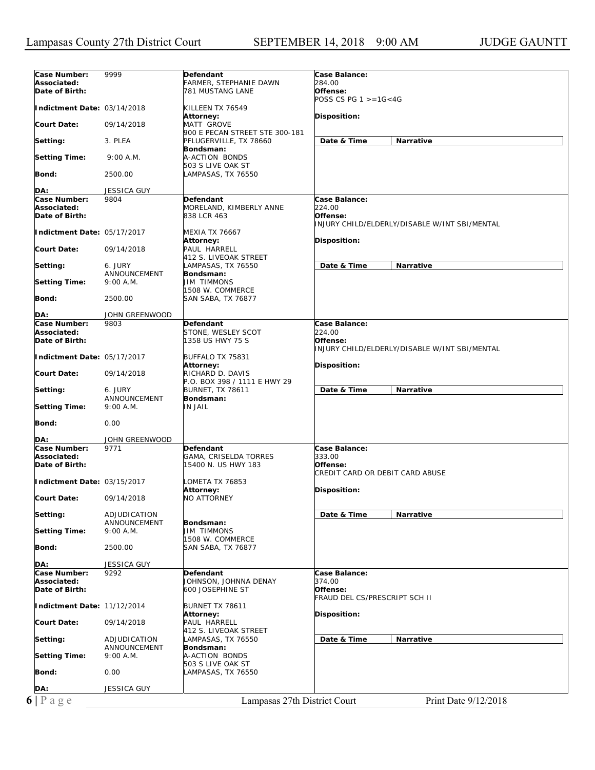| 9999<br>Case Number:<br>Associated:<br>Date of Birth:<br>Indictment Date: 03/14/2018<br><b>Court Date:</b><br>3. PLEA<br>Setting:<br><b>Setting Time:</b><br>Bond:<br>2500.00<br>DA:<br>Case Number:<br>9804<br>Associated:<br>Date of Birth:<br>Indictment Date: 05/17/2017<br><b>Court Date:</b><br>Setting:<br>6. JURY<br><b>Setting Time:</b><br>9:00 A.M.<br>Bond:<br>2500.00<br>DA:<br>Case Number:<br>9803<br>Associated:<br>Date of Birth:<br>Indictment Date: 05/17/2017<br><b>Court Date:</b><br>09/14/2018<br>Setting:<br>6. JURY<br><b>Setting Time:</b><br>9:00 A.M.<br>Bond:<br>0.00<br>DA:<br>Case Number:<br>9771<br>Associated:<br>Date of Birth:<br>Indictment Date: 03/15/2017<br><b>Court Date:</b><br>09/14/2018<br>Setting:<br><b>Setting Time:</b><br>9:00 A.M.<br>Bond:<br>2500.00<br>DA:<br>Case Number:<br>9292<br>Associated:<br>Date of Birth:<br>Indictment Date: 11/12/2014<br><b>Court Date:</b><br>Setting: |                     | Defendant<br>FARMER, STEPHANIE DAWN | <b>Case Balance:</b>                          |  |  |
|---------------------------------------------------------------------------------------------------------------------------------------------------------------------------------------------------------------------------------------------------------------------------------------------------------------------------------------------------------------------------------------------------------------------------------------------------------------------------------------------------------------------------------------------------------------------------------------------------------------------------------------------------------------------------------------------------------------------------------------------------------------------------------------------------------------------------------------------------------------------------------------------------------------------------------------------|---------------------|-------------------------------------|-----------------------------------------------|--|--|
|                                                                                                                                                                                                                                                                                                                                                                                                                                                                                                                                                                                                                                                                                                                                                                                                                                                                                                                                             |                     |                                     | <i>284.00</i>                                 |  |  |
|                                                                                                                                                                                                                                                                                                                                                                                                                                                                                                                                                                                                                                                                                                                                                                                                                                                                                                                                             |                     | 781 MUSTANG LANE                    | Offense:                                      |  |  |
|                                                                                                                                                                                                                                                                                                                                                                                                                                                                                                                                                                                                                                                                                                                                                                                                                                                                                                                                             |                     |                                     | POSS CS PG $1 > = 16 < 4G$                    |  |  |
|                                                                                                                                                                                                                                                                                                                                                                                                                                                                                                                                                                                                                                                                                                                                                                                                                                                                                                                                             |                     | KILLEEN TX 76549                    |                                               |  |  |
|                                                                                                                                                                                                                                                                                                                                                                                                                                                                                                                                                                                                                                                                                                                                                                                                                                                                                                                                             |                     | Attorney:                           | Disposition:                                  |  |  |
|                                                                                                                                                                                                                                                                                                                                                                                                                                                                                                                                                                                                                                                                                                                                                                                                                                                                                                                                             | 09/14/2018          | <b>MATT GROVE</b>                   |                                               |  |  |
|                                                                                                                                                                                                                                                                                                                                                                                                                                                                                                                                                                                                                                                                                                                                                                                                                                                                                                                                             |                     | 900 E PECAN STREET STE 300-181      |                                               |  |  |
|                                                                                                                                                                                                                                                                                                                                                                                                                                                                                                                                                                                                                                                                                                                                                                                                                                                                                                                                             |                     | PFLUGERVILLE, TX 78660              | Date & Time<br>Narrative                      |  |  |
|                                                                                                                                                                                                                                                                                                                                                                                                                                                                                                                                                                                                                                                                                                                                                                                                                                                                                                                                             |                     | Bondsman:                           |                                               |  |  |
|                                                                                                                                                                                                                                                                                                                                                                                                                                                                                                                                                                                                                                                                                                                                                                                                                                                                                                                                             | 9:00 A.M.           | A-ACTION BONDS                      |                                               |  |  |
|                                                                                                                                                                                                                                                                                                                                                                                                                                                                                                                                                                                                                                                                                                                                                                                                                                                                                                                                             |                     | 503 S LIVE OAK ST                   |                                               |  |  |
|                                                                                                                                                                                                                                                                                                                                                                                                                                                                                                                                                                                                                                                                                                                                                                                                                                                                                                                                             |                     | LAMPASAS, TX 76550                  |                                               |  |  |
|                                                                                                                                                                                                                                                                                                                                                                                                                                                                                                                                                                                                                                                                                                                                                                                                                                                                                                                                             |                     |                                     |                                               |  |  |
|                                                                                                                                                                                                                                                                                                                                                                                                                                                                                                                                                                                                                                                                                                                                                                                                                                                                                                                                             | JESSICA GUY         |                                     |                                               |  |  |
|                                                                                                                                                                                                                                                                                                                                                                                                                                                                                                                                                                                                                                                                                                                                                                                                                                                                                                                                             |                     | Defendant                           | Case Balance:                                 |  |  |
|                                                                                                                                                                                                                                                                                                                                                                                                                                                                                                                                                                                                                                                                                                                                                                                                                                                                                                                                             |                     | MORELAND, KIMBERLY ANNE             | 224.00                                        |  |  |
|                                                                                                                                                                                                                                                                                                                                                                                                                                                                                                                                                                                                                                                                                                                                                                                                                                                                                                                                             |                     | 838 LCR 463                         | Offense:                                      |  |  |
|                                                                                                                                                                                                                                                                                                                                                                                                                                                                                                                                                                                                                                                                                                                                                                                                                                                                                                                                             |                     |                                     | INJURY CHILD/ELDERLY/DISABLE W/INT SBI/MENTAL |  |  |
|                                                                                                                                                                                                                                                                                                                                                                                                                                                                                                                                                                                                                                                                                                                                                                                                                                                                                                                                             |                     | <b>MEXIA TX 76667</b>               |                                               |  |  |
|                                                                                                                                                                                                                                                                                                                                                                                                                                                                                                                                                                                                                                                                                                                                                                                                                                                                                                                                             |                     | Attorney:                           | Disposition:                                  |  |  |
|                                                                                                                                                                                                                                                                                                                                                                                                                                                                                                                                                                                                                                                                                                                                                                                                                                                                                                                                             | 09/14/2018          | PAUL HARRELL                        |                                               |  |  |
|                                                                                                                                                                                                                                                                                                                                                                                                                                                                                                                                                                                                                                                                                                                                                                                                                                                                                                                                             |                     | 412 S. LIVEOAK STREET               |                                               |  |  |
|                                                                                                                                                                                                                                                                                                                                                                                                                                                                                                                                                                                                                                                                                                                                                                                                                                                                                                                                             |                     | LAMPASAS, TX 76550                  | <b>Narrative</b><br>Date & Time               |  |  |
|                                                                                                                                                                                                                                                                                                                                                                                                                                                                                                                                                                                                                                                                                                                                                                                                                                                                                                                                             | ANNOUNCEMENT        | Bondsman:                           |                                               |  |  |
|                                                                                                                                                                                                                                                                                                                                                                                                                                                                                                                                                                                                                                                                                                                                                                                                                                                                                                                                             |                     | JIM TIMMONS                         |                                               |  |  |
|                                                                                                                                                                                                                                                                                                                                                                                                                                                                                                                                                                                                                                                                                                                                                                                                                                                                                                                                             |                     | 1508 W. COMMERCE                    |                                               |  |  |
|                                                                                                                                                                                                                                                                                                                                                                                                                                                                                                                                                                                                                                                                                                                                                                                                                                                                                                                                             |                     | <b>SAN SABA, TX 76877</b>           |                                               |  |  |
|                                                                                                                                                                                                                                                                                                                                                                                                                                                                                                                                                                                                                                                                                                                                                                                                                                                                                                                                             |                     |                                     |                                               |  |  |
|                                                                                                                                                                                                                                                                                                                                                                                                                                                                                                                                                                                                                                                                                                                                                                                                                                                                                                                                             | JOHN GREENWOOD      |                                     |                                               |  |  |
|                                                                                                                                                                                                                                                                                                                                                                                                                                                                                                                                                                                                                                                                                                                                                                                                                                                                                                                                             |                     | Defendant                           | Case Balance:                                 |  |  |
|                                                                                                                                                                                                                                                                                                                                                                                                                                                                                                                                                                                                                                                                                                                                                                                                                                                                                                                                             |                     | STONE, WESLEY SCOT                  | 224.00                                        |  |  |
|                                                                                                                                                                                                                                                                                                                                                                                                                                                                                                                                                                                                                                                                                                                                                                                                                                                                                                                                             |                     | 1358 US HWY 75 S                    | Offense:                                      |  |  |
|                                                                                                                                                                                                                                                                                                                                                                                                                                                                                                                                                                                                                                                                                                                                                                                                                                                                                                                                             |                     |                                     | INJURY CHILD/ELDERLY/DISABLE W/INT SBI/MENTAL |  |  |
|                                                                                                                                                                                                                                                                                                                                                                                                                                                                                                                                                                                                                                                                                                                                                                                                                                                                                                                                             |                     | BUFFALO TX 75831                    |                                               |  |  |
|                                                                                                                                                                                                                                                                                                                                                                                                                                                                                                                                                                                                                                                                                                                                                                                                                                                                                                                                             |                     | Attorney:                           | Disposition:                                  |  |  |
|                                                                                                                                                                                                                                                                                                                                                                                                                                                                                                                                                                                                                                                                                                                                                                                                                                                                                                                                             |                     | RICHARD D. DAVIS                    |                                               |  |  |
|                                                                                                                                                                                                                                                                                                                                                                                                                                                                                                                                                                                                                                                                                                                                                                                                                                                                                                                                             |                     | P.O. BOX 398 / 1111 E HWY 29        |                                               |  |  |
|                                                                                                                                                                                                                                                                                                                                                                                                                                                                                                                                                                                                                                                                                                                                                                                                                                                                                                                                             |                     | <b>BURNET, TX 78611</b>             | Date & Time<br>Narrative                      |  |  |
|                                                                                                                                                                                                                                                                                                                                                                                                                                                                                                                                                                                                                                                                                                                                                                                                                                                                                                                                             | ANNOUNCEMENT        | Bondsman:                           |                                               |  |  |
|                                                                                                                                                                                                                                                                                                                                                                                                                                                                                                                                                                                                                                                                                                                                                                                                                                                                                                                                             |                     | <b>IN JAIL</b>                      |                                               |  |  |
|                                                                                                                                                                                                                                                                                                                                                                                                                                                                                                                                                                                                                                                                                                                                                                                                                                                                                                                                             |                     |                                     |                                               |  |  |
|                                                                                                                                                                                                                                                                                                                                                                                                                                                                                                                                                                                                                                                                                                                                                                                                                                                                                                                                             |                     |                                     |                                               |  |  |
|                                                                                                                                                                                                                                                                                                                                                                                                                                                                                                                                                                                                                                                                                                                                                                                                                                                                                                                                             |                     |                                     |                                               |  |  |
|                                                                                                                                                                                                                                                                                                                                                                                                                                                                                                                                                                                                                                                                                                                                                                                                                                                                                                                                             | JOHN GREENWOOD      |                                     |                                               |  |  |
|                                                                                                                                                                                                                                                                                                                                                                                                                                                                                                                                                                                                                                                                                                                                                                                                                                                                                                                                             |                     | Defendant                           | Case Balance:                                 |  |  |
|                                                                                                                                                                                                                                                                                                                                                                                                                                                                                                                                                                                                                                                                                                                                                                                                                                                                                                                                             |                     | GAMA, CRISELDA TORRES               | 333.00                                        |  |  |
|                                                                                                                                                                                                                                                                                                                                                                                                                                                                                                                                                                                                                                                                                                                                                                                                                                                                                                                                             |                     | 15400 N. US HWY 183                 | Offense:                                      |  |  |
|                                                                                                                                                                                                                                                                                                                                                                                                                                                                                                                                                                                                                                                                                                                                                                                                                                                                                                                                             |                     |                                     | CREDIT CARD OR DEBIT CARD ABUSE               |  |  |
|                                                                                                                                                                                                                                                                                                                                                                                                                                                                                                                                                                                                                                                                                                                                                                                                                                                                                                                                             |                     | LOMETA TX 76853                     |                                               |  |  |
|                                                                                                                                                                                                                                                                                                                                                                                                                                                                                                                                                                                                                                                                                                                                                                                                                                                                                                                                             |                     |                                     |                                               |  |  |
|                                                                                                                                                                                                                                                                                                                                                                                                                                                                                                                                                                                                                                                                                                                                                                                                                                                                                                                                             |                     | <b>Attorney:</b>                    | Disposition:                                  |  |  |
|                                                                                                                                                                                                                                                                                                                                                                                                                                                                                                                                                                                                                                                                                                                                                                                                                                                                                                                                             |                     | NO ATTORNEY                         |                                               |  |  |
|                                                                                                                                                                                                                                                                                                                                                                                                                                                                                                                                                                                                                                                                                                                                                                                                                                                                                                                                             | <b>ADJUDICATION</b> |                                     |                                               |  |  |
|                                                                                                                                                                                                                                                                                                                                                                                                                                                                                                                                                                                                                                                                                                                                                                                                                                                                                                                                             |                     |                                     | Date & Time<br>Narrative                      |  |  |
|                                                                                                                                                                                                                                                                                                                                                                                                                                                                                                                                                                                                                                                                                                                                                                                                                                                                                                                                             | ANNOUNCEMENT        | Bondsman:                           |                                               |  |  |
|                                                                                                                                                                                                                                                                                                                                                                                                                                                                                                                                                                                                                                                                                                                                                                                                                                                                                                                                             |                     | <b>JIM TIMMONS</b>                  |                                               |  |  |
|                                                                                                                                                                                                                                                                                                                                                                                                                                                                                                                                                                                                                                                                                                                                                                                                                                                                                                                                             |                     | 1508 W. COMMERCE                    |                                               |  |  |
|                                                                                                                                                                                                                                                                                                                                                                                                                                                                                                                                                                                                                                                                                                                                                                                                                                                                                                                                             |                     | SAN SABA, TX 76877                  |                                               |  |  |
|                                                                                                                                                                                                                                                                                                                                                                                                                                                                                                                                                                                                                                                                                                                                                                                                                                                                                                                                             |                     |                                     |                                               |  |  |
|                                                                                                                                                                                                                                                                                                                                                                                                                                                                                                                                                                                                                                                                                                                                                                                                                                                                                                                                             | JESSICA GUY         |                                     |                                               |  |  |
|                                                                                                                                                                                                                                                                                                                                                                                                                                                                                                                                                                                                                                                                                                                                                                                                                                                                                                                                             |                     | Defendant                           | Case Balance:                                 |  |  |
|                                                                                                                                                                                                                                                                                                                                                                                                                                                                                                                                                                                                                                                                                                                                                                                                                                                                                                                                             |                     | JOHNSON, JOHNNA DENAY               | 374.00                                        |  |  |
|                                                                                                                                                                                                                                                                                                                                                                                                                                                                                                                                                                                                                                                                                                                                                                                                                                                                                                                                             |                     | 600 JOSEPHINE ST                    | Offense:                                      |  |  |
|                                                                                                                                                                                                                                                                                                                                                                                                                                                                                                                                                                                                                                                                                                                                                                                                                                                                                                                                             |                     |                                     | FRAUD DEL CS/PRESCRIPT SCH II                 |  |  |
|                                                                                                                                                                                                                                                                                                                                                                                                                                                                                                                                                                                                                                                                                                                                                                                                                                                                                                                                             |                     | BURNET TX 78611                     |                                               |  |  |
|                                                                                                                                                                                                                                                                                                                                                                                                                                                                                                                                                                                                                                                                                                                                                                                                                                                                                                                                             |                     | Attorney:                           | Disposition:                                  |  |  |
|                                                                                                                                                                                                                                                                                                                                                                                                                                                                                                                                                                                                                                                                                                                                                                                                                                                                                                                                             | 09/14/2018          | PAUL HARRELL                        |                                               |  |  |
|                                                                                                                                                                                                                                                                                                                                                                                                                                                                                                                                                                                                                                                                                                                                                                                                                                                                                                                                             |                     | 412 S. LIVEOAK STREET               |                                               |  |  |
|                                                                                                                                                                                                                                                                                                                                                                                                                                                                                                                                                                                                                                                                                                                                                                                                                                                                                                                                             | ADJUDICATION        | LAMPASAS, TX 76550                  | Date & Time<br>Narrative                      |  |  |
|                                                                                                                                                                                                                                                                                                                                                                                                                                                                                                                                                                                                                                                                                                                                                                                                                                                                                                                                             | ANNOUNCEMENT        | Bondsman:                           |                                               |  |  |
| <b>Setting Time:</b>                                                                                                                                                                                                                                                                                                                                                                                                                                                                                                                                                                                                                                                                                                                                                                                                                                                                                                                        | 9:00 A.M.           | A-ACTION BONDS                      |                                               |  |  |
|                                                                                                                                                                                                                                                                                                                                                                                                                                                                                                                                                                                                                                                                                                                                                                                                                                                                                                                                             |                     | 503 S LIVE OAK ST                   |                                               |  |  |
| Bond:<br>0.00                                                                                                                                                                                                                                                                                                                                                                                                                                                                                                                                                                                                                                                                                                                                                                                                                                                                                                                               |                     | LAMPASAS, TX 76550                  |                                               |  |  |
|                                                                                                                                                                                                                                                                                                                                                                                                                                                                                                                                                                                                                                                                                                                                                                                                                                                                                                                                             |                     |                                     |                                               |  |  |
| DA:                                                                                                                                                                                                                                                                                                                                                                                                                                                                                                                                                                                                                                                                                                                                                                                                                                                                                                                                         | JESSICA GUY         |                                     |                                               |  |  |
| $6 P \text{ a } g e$                                                                                                                                                                                                                                                                                                                                                                                                                                                                                                                                                                                                                                                                                                                                                                                                                                                                                                                        |                     | Lampasas 27th District Court        | Print Date 9/12/2018                          |  |  |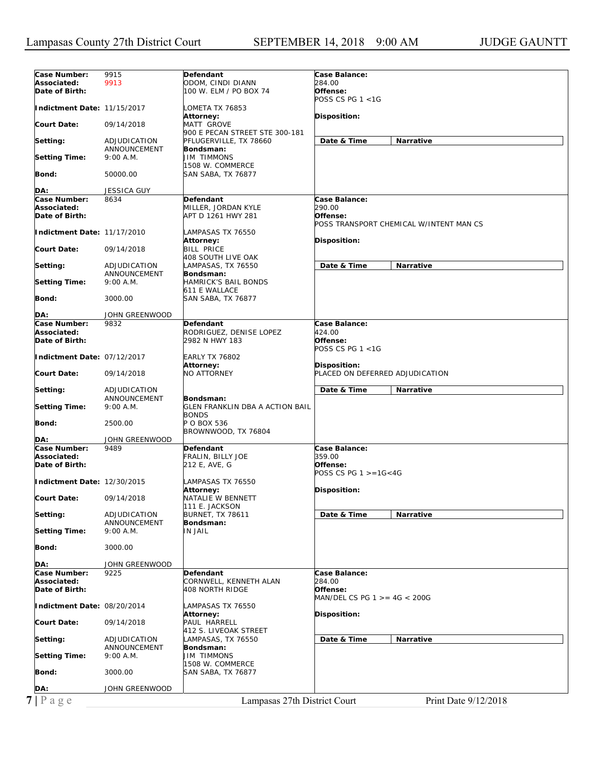| Case Number:                | 9915                  | Defendant                              | <b>Case Balance:</b>                    |  |  |
|-----------------------------|-----------------------|----------------------------------------|-----------------------------------------|--|--|
| Associated:                 | 9913                  | ODOM, CINDI DIANN                      | 284.00                                  |  |  |
|                             |                       |                                        |                                         |  |  |
| Date of Birth:              |                       | 100 W. ELM / PO BOX 74                 | Offense:                                |  |  |
|                             |                       |                                        | POSS CS PG $1 < 1G$                     |  |  |
| Indictment Date: 11/15/2017 |                       | LOMETA TX 76853                        |                                         |  |  |
|                             |                       | Attorney:                              | Disposition:                            |  |  |
| Court Date:                 | 09/14/2018            | MATT GROVE                             |                                         |  |  |
|                             |                       | 900 E PECAN STREET STE 300-181         |                                         |  |  |
| Setting:                    | ADJUDICATION          | PFLUGERVILLE, TX 78660                 | Date & Time<br>Narrative                |  |  |
|                             |                       |                                        |                                         |  |  |
|                             | ANNOUNCEMENT          | Bondsman:                              |                                         |  |  |
| <b>Setting Time:</b>        | 9:00 A.M.             | <b>JIM TIMMONS</b>                     |                                         |  |  |
|                             |                       | 1508 W. COMMERCE                       |                                         |  |  |
| Bond:                       | 50000.00              | <b>SAN SABA, TX 76877</b>              |                                         |  |  |
|                             |                       |                                        |                                         |  |  |
| DA:                         | JESSICA GUY           |                                        |                                         |  |  |
| Case Number:                | 8634                  | Defendant                              | Case Balance:                           |  |  |
| Associated:                 |                       |                                        | 290.00                                  |  |  |
|                             |                       | MILLER, JORDAN KYLE                    |                                         |  |  |
| Date of Birth:              |                       | APT D 1261 HWY 281                     | Offense:                                |  |  |
|                             |                       |                                        | POSS TRANSPORT CHEMICAL W/INTENT MAN CS |  |  |
| Indictment Date: 11/17/2010 |                       | LAMPASAS TX 76550                      |                                         |  |  |
|                             |                       | Attorney:                              | Disposition:                            |  |  |
| <b>Court Date:</b>          | 09/14/2018            | <b>BILL PRICE</b>                      |                                         |  |  |
|                             |                       |                                        |                                         |  |  |
|                             |                       | 408 SOUTH LIVE OAK                     |                                         |  |  |
| Setting:                    | ADJUDICATION          | LAMPASAS, TX 76550                     | Date & Time<br>Narrative                |  |  |
|                             | ANNOUNCEMENT          | Bondsman:                              |                                         |  |  |
| <b>Setting Time:</b>        | 9:00 A.M.             | HAMRICK'S BAIL BONDS                   |                                         |  |  |
|                             |                       | 611 E WALLACE                          |                                         |  |  |
| Bond:                       | 3000.00               | SAN SABA, TX 76877                     |                                         |  |  |
|                             |                       |                                        |                                         |  |  |
|                             | <b>JOHN GREENWOOD</b> |                                        |                                         |  |  |
| DA:                         |                       |                                        |                                         |  |  |
| Case Number:                | 9832                  | Defendant                              | Case Balance:                           |  |  |
| Associated:                 |                       | RODRIGUEZ, DENISE LOPEZ                | 424.00                                  |  |  |
| Date of Birth:              |                       | 2982 N HWY 183                         | Offense:                                |  |  |
|                             |                       |                                        | POSS CS PG $1 < 1G$                     |  |  |
| Indictment Date: 07/12/2017 |                       | <b>EARLY TX 76802</b>                  |                                         |  |  |
|                             |                       |                                        |                                         |  |  |
|                             |                       | Attorney:                              | Disposition:                            |  |  |
| <b>Court Date:</b>          | 09/14/2018            | <b>NO ATTORNEY</b>                     | PLACED ON DEFERRED ADJUDICATION         |  |  |
|                             |                       |                                        |                                         |  |  |
| Setting:                    | ADJUDICATION          |                                        | Date & Time<br>Narrative                |  |  |
|                             | ANNOUNCEMENT          | Bondsman:                              |                                         |  |  |
| <b>Setting Time:</b>        | 9:00 A.M.             | <b>GLEN FRANKLIN DBA A ACTION BAIL</b> |                                         |  |  |
|                             |                       |                                        |                                         |  |  |
|                             |                       |                                        |                                         |  |  |
|                             |                       | <b>BONDS</b>                           |                                         |  |  |
| Bond:                       | 2500.00               | P O BOX 536                            |                                         |  |  |
|                             |                       | BROWNWOOD, TX 76804                    |                                         |  |  |
|                             | JOHN GREENWOOD        |                                        |                                         |  |  |
| DA:<br>Case Number:         | 9489                  | Defendant                              | Case Balance:                           |  |  |
|                             |                       |                                        | 359.00                                  |  |  |
| Associated:                 |                       | FRALIN, BILLY JOE                      |                                         |  |  |
|                             |                       | 212 E, AVE, G                          | Offense:                                |  |  |
| Date of Birth:              |                       |                                        | POSS CS PG $1 > = 16 < 4G$              |  |  |
| Indictment Date: 12/30/2015 |                       | LAMPASAS TX 76550                      |                                         |  |  |
|                             |                       | Attorney:                              | Disposition:                            |  |  |
|                             | 09/14/2018            | NATALIE W BENNETT                      |                                         |  |  |
| <b>Court Date:</b>          |                       | 111 E. JACKSON                         |                                         |  |  |
|                             | ADJUDICATION          |                                        |                                         |  |  |
| Setting:                    |                       | <b>BURNET, TX 78611</b>                | Date & Time<br>Narrative                |  |  |
|                             | ANNOUNCEMENT          | Bondsman:                              |                                         |  |  |
| <b>Setting Time:</b>        | 9:00 A.M.             | <b>IN JAIL</b>                         |                                         |  |  |
|                             |                       |                                        |                                         |  |  |
| Bond:                       | 3000.00               |                                        |                                         |  |  |
|                             |                       |                                        |                                         |  |  |
| DA:                         | JOHN GREENWOOD        |                                        |                                         |  |  |
| Case Number:                |                       |                                        |                                         |  |  |
|                             | 9225                  | Defendant                              | Case Balance:                           |  |  |
| Associated:                 |                       | CORNWELL, KENNETH ALAN                 | 284.00                                  |  |  |
| Date of Birth:              |                       | 408 NORTH RIDGE                        | Offense:                                |  |  |
|                             |                       |                                        | MAN/DEL CS PG $1 > = 4G < 200G$         |  |  |
| Indictment Date: 08/20/2014 |                       | LAMPASAS TX 76550                      |                                         |  |  |
|                             |                       | <b>Attorney:</b>                       | Disposition:                            |  |  |
|                             | 09/14/2018            | PAUL HARRELL                           |                                         |  |  |
| <b>Court Date:</b>          |                       |                                        |                                         |  |  |
|                             |                       | 412 S. LIVEOAK STREET                  |                                         |  |  |
|                             | ADJUDICATION          | LAMPASAS, TX 76550                     | Date & Time<br>Narrative                |  |  |
| Setting:                    | ANNOUNCEMENT          | Bondsman:                              |                                         |  |  |
| <b>Setting Time:</b>        | 9:00 A.M.             | <b>JIM TIMMONS</b>                     |                                         |  |  |
|                             |                       | 1508 W. COMMERCE                       |                                         |  |  |
| Bond:                       | 3000.00               |                                        |                                         |  |  |
|                             |                       | SAN SABA, TX 76877                     |                                         |  |  |
|                             |                       |                                        |                                         |  |  |
| DA:                         | JOHN GREENWOOD        |                                        |                                         |  |  |
| $7$   Page                  |                       | Lampasas 27th District Court           | Print Date 9/12/2018                    |  |  |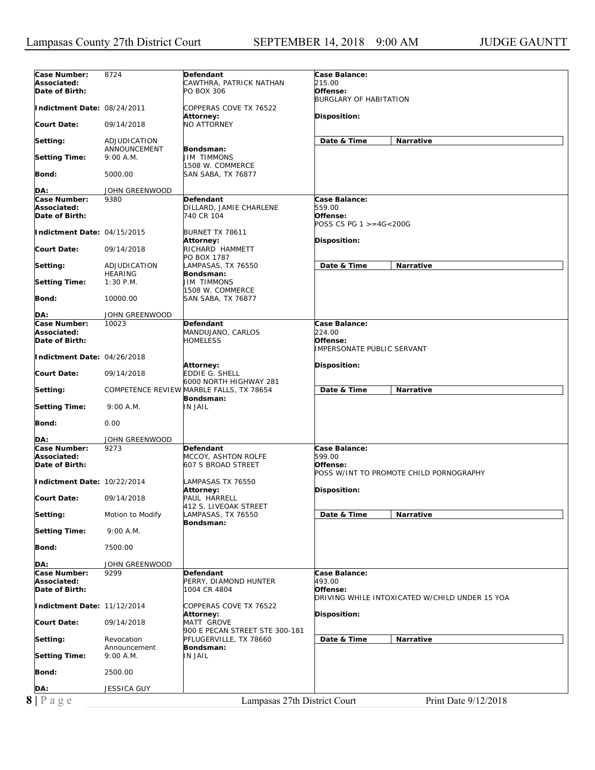| Case Number:<br>Associated:                                                                                                                                                                                                                                                | 8724                           | Defendant<br>CAWTHRA, PATRICK NATHAN                  | Case Balance:<br>215.00                        |  |  |
|----------------------------------------------------------------------------------------------------------------------------------------------------------------------------------------------------------------------------------------------------------------------------|--------------------------------|-------------------------------------------------------|------------------------------------------------|--|--|
| Date of Birth:                                                                                                                                                                                                                                                             |                                | PO BOX 306                                            | Offense:                                       |  |  |
|                                                                                                                                                                                                                                                                            |                                |                                                       | <b>BURGLARY OF HABITATION</b>                  |  |  |
| Indictment Date: 08/24/2011                                                                                                                                                                                                                                                |                                | COPPERAS COVE TX 76522<br>Attorney:                   | Disposition:                                   |  |  |
| Court Date:                                                                                                                                                                                                                                                                | 09/14/2018                     | NO ATTORNEY                                           |                                                |  |  |
| Setting:                                                                                                                                                                                                                                                                   | ADJUDICATION                   |                                                       | Date & Time<br>Narrative                       |  |  |
|                                                                                                                                                                                                                                                                            | ANNOUNCEMENT                   | Bondsman:<br><b>JIM TIMMONS</b>                       |                                                |  |  |
| <b>Setting Time:</b>                                                                                                                                                                                                                                                       | 9:00 A.M.                      | 1508 W. COMMERCE                                      |                                                |  |  |
| Bond:                                                                                                                                                                                                                                                                      | 5000.00                        | SAN SABA, TX 76877                                    |                                                |  |  |
| DA:                                                                                                                                                                                                                                                                        | JOHN GREENWOOD                 |                                                       |                                                |  |  |
| Case Number:                                                                                                                                                                                                                                                               | 9380                           | Defendant                                             | Case Balance:                                  |  |  |
| Associated:<br>Date of Birth:                                                                                                                                                                                                                                              |                                | DILLARD, JAMIE CHARLENE<br>740 CR 104                 | 559.00<br>Offense:                             |  |  |
|                                                                                                                                                                                                                                                                            |                                |                                                       | POSS CS PG 1 >=4G<200G                         |  |  |
| Indictment Date: 04/15/2015                                                                                                                                                                                                                                                |                                | BURNET TX 78611                                       |                                                |  |  |
| Court Date:                                                                                                                                                                                                                                                                | 09/14/2018                     | Attorney:<br>RICHARD HAMMETT                          | Disposition:                                   |  |  |
|                                                                                                                                                                                                                                                                            |                                | PO BOX 1787                                           |                                                |  |  |
| Setting:                                                                                                                                                                                                                                                                   | ADJUDICATION<br><b>HEARING</b> | LAMPASAS, TX 76550<br>Bondsman:                       | Date & Time<br><b>Narrative</b>                |  |  |
| <b>Setting Time:</b>                                                                                                                                                                                                                                                       | $1:30$ P.M.                    | <b>JIM TIMMONS</b>                                    |                                                |  |  |
|                                                                                                                                                                                                                                                                            |                                | 1508 W. COMMERCE                                      |                                                |  |  |
| Bond:                                                                                                                                                                                                                                                                      | 10000.00                       | SAN SABA, TX 76877                                    |                                                |  |  |
| DA:                                                                                                                                                                                                                                                                        | JOHN GREENWOOD                 |                                                       |                                                |  |  |
| Case Number:                                                                                                                                                                                                                                                               | 10023                          | <b>Defendant</b>                                      | Case Balance:                                  |  |  |
| Associated:<br>Date of Birth:                                                                                                                                                                                                                                              |                                | MANDUJANO, CARLOS<br>HOMELESS                         | 224.00<br>Offense:                             |  |  |
|                                                                                                                                                                                                                                                                            |                                |                                                       | IMPERSONATE PUBLIC SERVANT                     |  |  |
| Indictment Date: 04/26/2018                                                                                                                                                                                                                                                |                                | Attorney:                                             | <b>Disposition:</b>                            |  |  |
| Court Date:                                                                                                                                                                                                                                                                | 09/14/2018                     | EDDIE G. SHELL                                        |                                                |  |  |
|                                                                                                                                                                                                                                                                            |                                | 6000 NORTH HIGHWAY 281                                |                                                |  |  |
| Setting:                                                                                                                                                                                                                                                                   |                                | COMPETENCE REVIEW MARBLE FALLS, TX 78654<br>Bondsman: | Date & Time<br><b>Narrative</b>                |  |  |
| <b>Setting Time:</b>                                                                                                                                                                                                                                                       | 9:00 A.M.                      | IN JAIL                                               |                                                |  |  |
| Bond:                                                                                                                                                                                                                                                                      | 0.00                           |                                                       |                                                |  |  |
| DA:                                                                                                                                                                                                                                                                        | JOHN GREENWOOD                 |                                                       |                                                |  |  |
| Case Number:                                                                                                                                                                                                                                                               | 9273                           | Defendant                                             | Case Balance:                                  |  |  |
| Associated:                                                                                                                                                                                                                                                                |                                | MCCOY, ASHTON ROLFE                                   | 599.00                                         |  |  |
|                                                                                                                                                                                                                                                                            |                                | <b>607 S BROAD STREET</b>                             | Offense:                                       |  |  |
|                                                                                                                                                                                                                                                                            |                                |                                                       |                                                |  |  |
|                                                                                                                                                                                                                                                                            |                                | LAMPASAS TX 76550                                     | POSS W/INT TO PROMOTE CHILD PORNOGRAPHY        |  |  |
|                                                                                                                                                                                                                                                                            |                                | Attorney:                                             | Disposition:                                   |  |  |
|                                                                                                                                                                                                                                                                            | 09/14/2018                     | PAUL HARRELL                                          |                                                |  |  |
|                                                                                                                                                                                                                                                                            | Motion to Modify               | 412 S. LIVEOAK STREET<br>LAMPASAS, TX 76550           | Date & Time<br>Narrative                       |  |  |
|                                                                                                                                                                                                                                                                            | 9:00 A.M.                      | Bondsman:                                             |                                                |  |  |
|                                                                                                                                                                                                                                                                            |                                |                                                       |                                                |  |  |
|                                                                                                                                                                                                                                                                            | 7500.00                        |                                                       |                                                |  |  |
|                                                                                                                                                                                                                                                                            | JOHN GREENWOOD                 |                                                       |                                                |  |  |
|                                                                                                                                                                                                                                                                            | 9299                           | Defendant                                             | Case Balance:                                  |  |  |
|                                                                                                                                                                                                                                                                            |                                | PERRY, DIAMOND HUNTER<br>1004 CR 4804                 | 493.00<br>Offense:                             |  |  |
|                                                                                                                                                                                                                                                                            |                                |                                                       | DRIVING WHILE INTOXICATED W/CHILD UNDER 15 YOA |  |  |
|                                                                                                                                                                                                                                                                            |                                | COPPERAS COVE TX 76522                                |                                                |  |  |
|                                                                                                                                                                                                                                                                            | 09/14/2018                     | Attorney:<br>MATT GROVE                               | Disposition:                                   |  |  |
|                                                                                                                                                                                                                                                                            |                                | 900 E PECAN STREET STE 300-181                        |                                                |  |  |
|                                                                                                                                                                                                                                                                            | Revocation                     | PFLUGERVILLE, TX 78660                                | Date & Time<br>Narrative                       |  |  |
|                                                                                                                                                                                                                                                                            | Announcement<br>9:00 A.M.      | Bondsman:<br><b>IN JAIL</b>                           |                                                |  |  |
| Date of Birth:<br>Indictment Date: 10/22/2014<br><b>Court Date:</b><br>Setting:<br><b>Setting Time:</b><br>Bond:<br>DA:<br>Case Number:<br>Associated:<br>Date of Birth:<br>Indictment Date: 11/12/2014<br>Court Date:<br>Setting:<br><b>Setting Time:</b><br><b>Bond:</b> | 2500.00                        |                                                       |                                                |  |  |
| DA:                                                                                                                                                                                                                                                                        | <b>JESSICA GUY</b>             |                                                       |                                                |  |  |